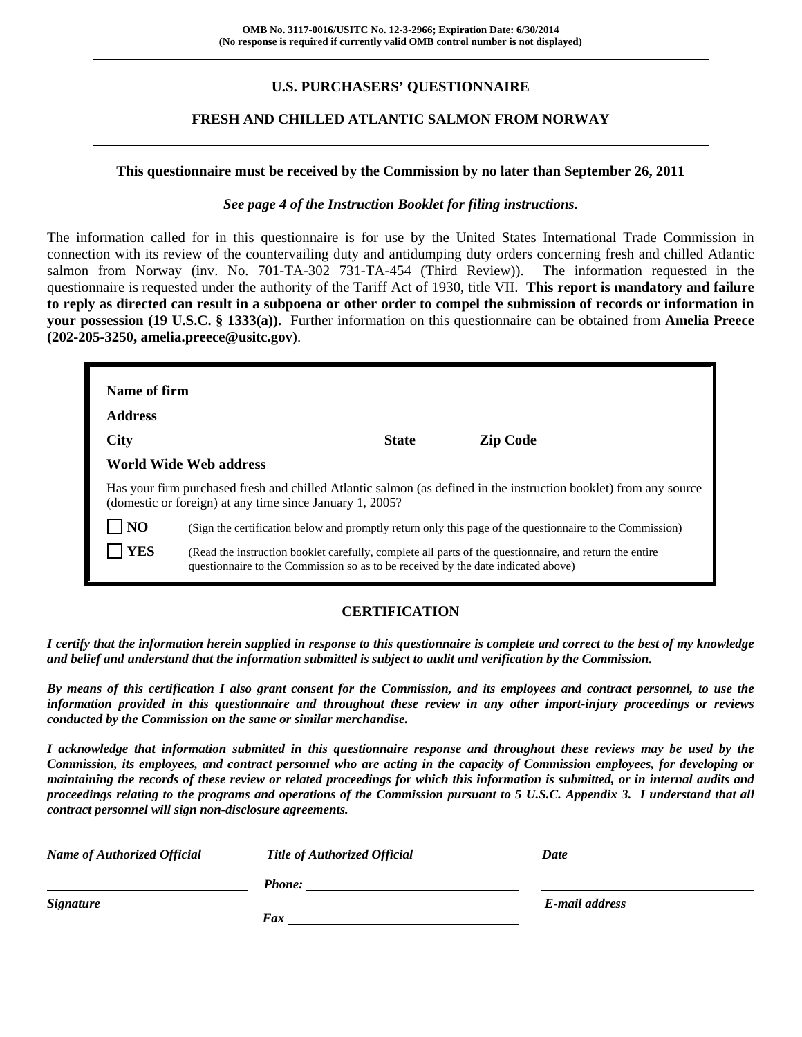### **U.S. PURCHASERS' QUESTIONNAIRE**

### **FRESH AND CHILLED ATLANTIC SALMON FROM NORWAY**

#### **This questionnaire must be received by the Commission by no later than September 26, 2011**

#### *See page 4 of the Instruction Booklet for filing instructions.*

The information called for in this questionnaire is for use by the United States International Trade Commission in connection with its review of the countervailing duty and antidumping duty orders concerning fresh and chilled Atlantic salmon from Norway (inv. No. 701-TA-302 731-TA-454 (Third Review)). The information requested in the questionnaire is requested under the authority of the Tariff Act of 1930, title VII. **This report is mandatory and failure to reply as directed can result in a subpoena or other order to compel the submission of records or information in your possession (19 U.S.C. § 1333(a)).** Further information on this questionnaire can be obtained from **Amelia Preece (202-205-3250, amelia.preece@usitc.gov)**.

|                | (domestic or foreign) at any time since January 1, 2005?                          |  | Has your firm purchased fresh and chilled Atlantic salmon (as defined in the instruction booklet) from any source |  |  |
|----------------|-----------------------------------------------------------------------------------|--|-------------------------------------------------------------------------------------------------------------------|--|--|
| N <sub>O</sub> |                                                                                   |  | (Sign the certification below and promptly return only this page of the questionnaire to the Commission)          |  |  |
| <b>YES</b>     | questionnaire to the Commission so as to be received by the date indicated above) |  | (Read the instruction booklet carefully, complete all parts of the questionnaire, and return the entire           |  |  |

### **CERTIFICATION**

*I certify that the information herein supplied in response to this questionnaire is complete and correct to the best of my knowledge and belief and understand that the information submitted is subject to audit and verification by the Commission.* 

*By means of this certification I also grant consent for the Commission, and its employees and contract personnel, to use the information provided in this questionnaire and throughout these review in any other import-injury proceedings or reviews conducted by the Commission on the same or similar merchandise.* 

*I acknowledge that information submitted in this questionnaire response and throughout these reviews may be used by the Commission, its employees, and contract personnel who are acting in the capacity of Commission employees, for developing or maintaining the records of these review or related proceedings for which this information is submitted, or in internal audits and proceedings relating to the programs and operations of the Commission pursuant to 5 U.S.C. Appendix 3. I understand that all contract personnel will sign non-disclosure agreements.* 

| <b>Name of Authorized Official</b> | <b>Title of Authorized Official</b> | Date           |  |
|------------------------------------|-------------------------------------|----------------|--|
|                                    | <b>Phone:</b>                       |                |  |
| <b>Signature</b>                   |                                     | E-mail address |  |
|                                    | Fax                                 |                |  |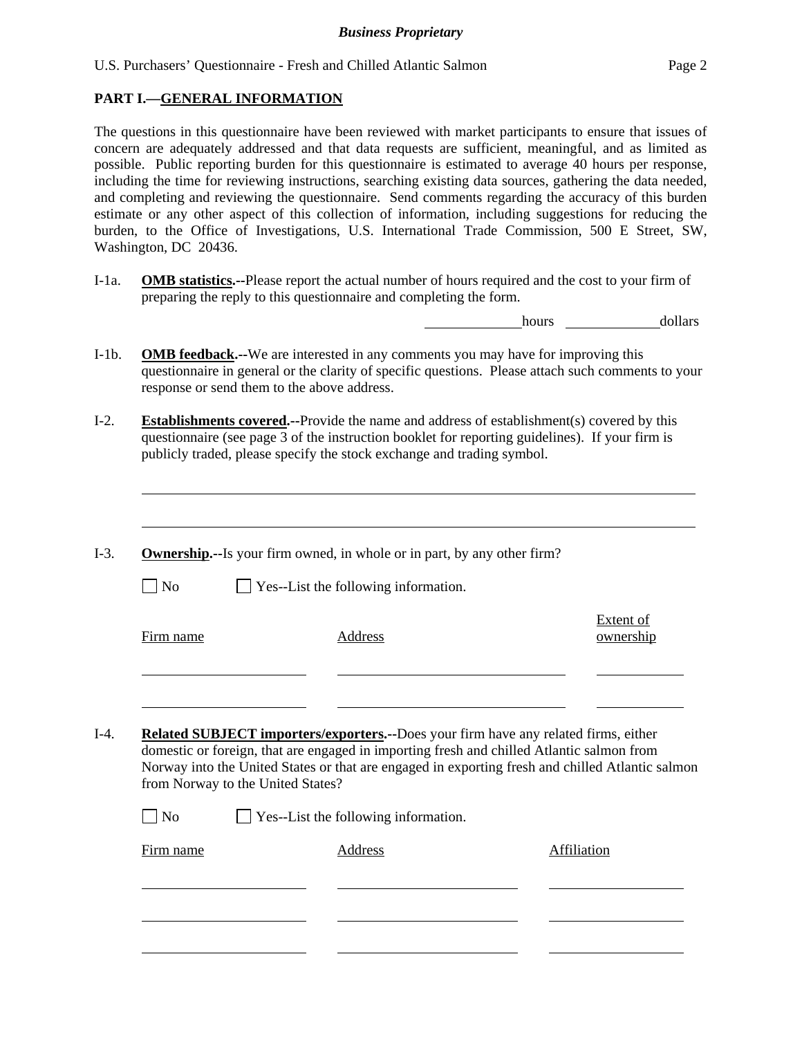#### **PART I.—GENERAL INFORMATION**

l

The questions in this questionnaire have been reviewed with market participants to ensure that issues of concern are adequately addressed and that data requests are sufficient, meaningful, and as limited as possible. Public reporting burden for this questionnaire is estimated to average 40 hours per response, including the time for reviewing instructions, searching existing data sources, gathering the data needed, and completing and reviewing the questionnaire. Send comments regarding the accuracy of this burden estimate or any other aspect of this collection of information, including suggestions for reducing the burden, to the Office of Investigations, U.S. International Trade Commission, 500 E Street, SW, Washington, DC 20436.

I-1a. **OMB statistics.--**Please report the actual number of hours required and the cost to your firm of preparing the reply to this questionnaire and completing the form.

hours dollars

- I-1b. **OMB feedback.--**We are interested in any comments you may have for improving this questionnaire in general or the clarity of specific questions. Please attach such comments to your response or send them to the above address.
- I-2. **Establishments covered.--**Provide the name and address of establishment(s) covered by this questionnaire (see page 3 of the instruction booklet for reporting guidelines). If your firm is publicly traded, please specify the stock exchange and trading symbol.
- I-3. **Ownership.--**Is your firm owned, in whole or in part, by any other firm?  $\Box$  No  $\Box$  Yes--List the following information. Firm name Address Extent of ownership l l I-4. **Related SUBJECT importers/exporters.--**Does your firm have any related firms, either domestic or foreign, that are engaged in importing fresh and chilled Atlantic salmon from Norway into the United States or that are engaged in exporting fresh and chilled Atlantic salmon from Norway to the United States?  $\Box$  No  $\Box$  Yes--List the following information. Firm name Address Address Address Affiliation l l l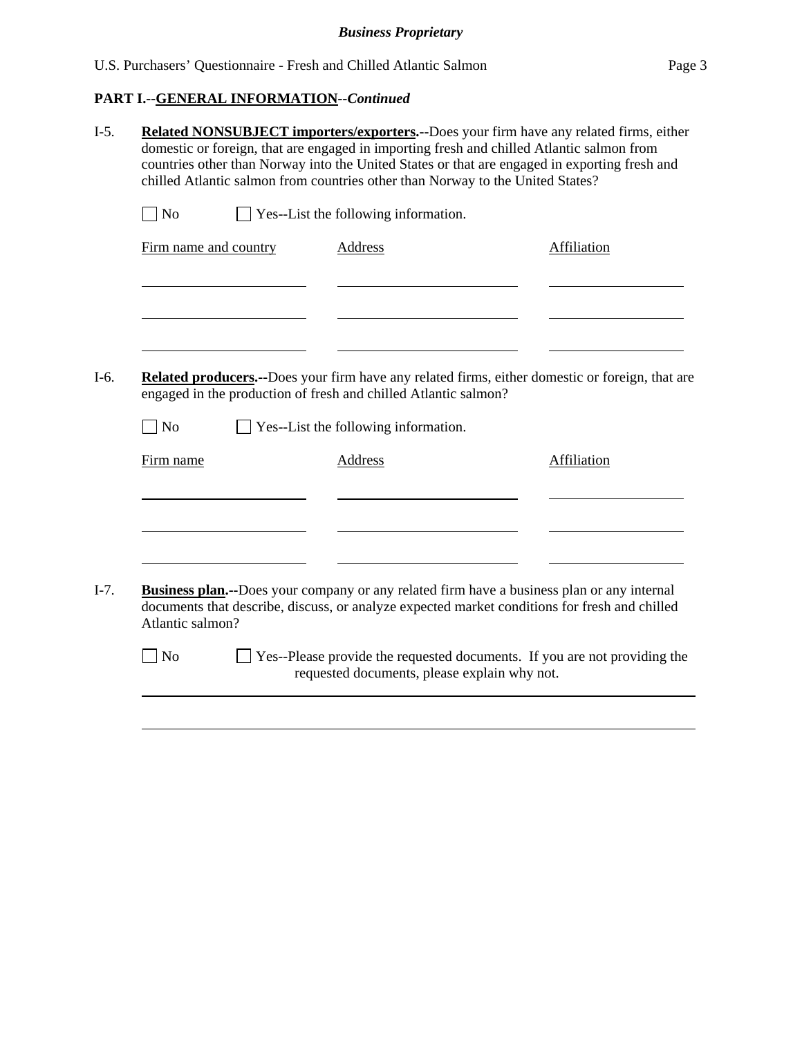# **PART I.--GENERAL INFORMATION***--Continued*

|                       | <b>Related NONSUBJECT importers/exporters.--Does your firm have any related firms, either</b><br>domestic or foreign, that are engaged in importing fresh and chilled Atlantic salmon from<br>countries other than Norway into the United States or that are engaged in exporting fresh and<br>chilled Atlantic salmon from countries other than Norway to the United States? |             |
|-----------------------|-------------------------------------------------------------------------------------------------------------------------------------------------------------------------------------------------------------------------------------------------------------------------------------------------------------------------------------------------------------------------------|-------------|
| $\exists$ No          | Yes--List the following information.                                                                                                                                                                                                                                                                                                                                          |             |
| Firm name and country | <b>Address</b>                                                                                                                                                                                                                                                                                                                                                                | Affiliation |
|                       | Related producers.--Does your firm have any related firms, either domestic or foreign, that are<br>engaged in the production of fresh and chilled Atlantic salmon?                                                                                                                                                                                                            |             |
| N <sub>o</sub>        | Yes--List the following information.                                                                                                                                                                                                                                                                                                                                          |             |
| Firm name             | <b>Address</b>                                                                                                                                                                                                                                                                                                                                                                | Affiliation |
|                       |                                                                                                                                                                                                                                                                                                                                                                               |             |
| Atlantic salmon?      | <b>Business plan.</b> --Does your company or any related firm have a business plan or any internal<br>documents that describe, discuss, or analyze expected market conditions for fresh and chilled                                                                                                                                                                           |             |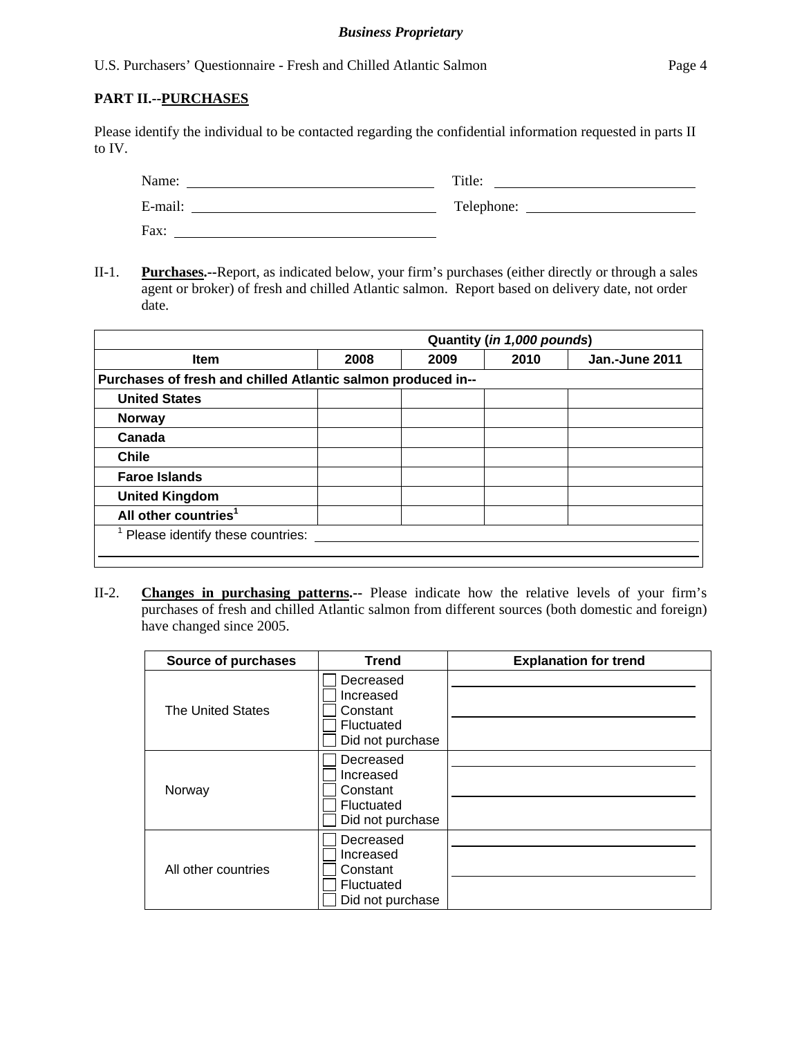U.S. Purchasers' Questionnaire - Fresh and Chilled Atlantic Salmon Page 4

#### **PART II.--PURCHASES**

Please identify the individual to be contacted regarding the confidential information requested in parts II to IV.

| Name:   | Title:     |
|---------|------------|
| E-mail: | Telephone: |
| Fax:    |            |

II-1. **Purchases.--**Report, as indicated below, your firm's purchases (either directly or through a sales agent or broker) of fresh and chilled Atlantic salmon. Report based on delivery date, not order date.

|                                                              |      |      | Quantity (in 1,000 pounds) |                |
|--------------------------------------------------------------|------|------|----------------------------|----------------|
| Item                                                         | 2008 | 2009 | 2010                       | Jan.-June 2011 |
| Purchases of fresh and chilled Atlantic salmon produced in-- |      |      |                            |                |
| <b>United States</b>                                         |      |      |                            |                |
| Norway                                                       |      |      |                            |                |
| Canada                                                       |      |      |                            |                |
| <b>Chile</b>                                                 |      |      |                            |                |
| <b>Faroe Islands</b>                                         |      |      |                            |                |
| <b>United Kingdom</b>                                        |      |      |                            |                |
| All other countries <sup>1</sup>                             |      |      |                            |                |
| Please identify these countries:                             |      |      |                            |                |
|                                                              |      |      |                            |                |

II-2. **Changes in purchasing patterns.--** Please indicate how the relative levels of your firm's purchases of fresh and chilled Atlantic salmon from different sources (both domestic and foreign) have changed since 2005.

| <b>Source of purchases</b> | <b>Trend</b>                                                         | <b>Explanation for trend</b> |
|----------------------------|----------------------------------------------------------------------|------------------------------|
| <b>The United States</b>   | Decreased<br>Increased<br>Constant<br>Fluctuated<br>Did not purchase |                              |
| Norway                     | Decreased<br>Increased<br>Constant<br>Fluctuated<br>Did not purchase |                              |
| All other countries        | Decreased<br>Increased<br>Constant<br>Fluctuated<br>Did not purchase |                              |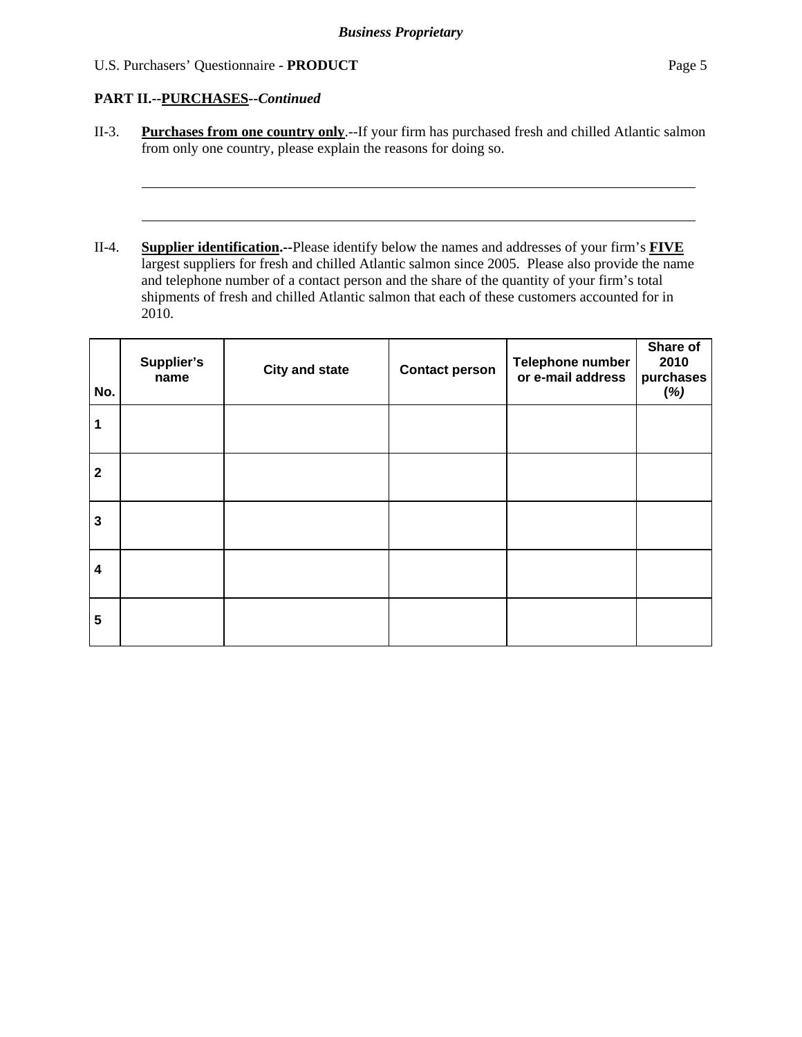### U.S. Purchasers' Questionnaire - **PRODUCT** Page 5

### **PART II.--PURCHASES***--Continued*

l

l

- II-3. **Purchases from one country only**.--If your firm has purchased fresh and chilled Atlantic salmon from only one country, please explain the reasons for doing so.
- II-4. **Supplier identification.--**Please identify below the names and addresses of your firm's **FIVE** largest suppliers for fresh and chilled Atlantic salmon since 2005. Please also provide the name and telephone number of a contact person and the share of the quantity of your firm's total shipments of fresh and chilled Atlantic salmon that each of these customers accounted for in 2010.

| No.                     | Supplier's<br>name | <b>City and state</b> | <b>Contact person</b> | Telephone number<br>or e-mail address | Share of<br>2010<br>purchases<br>(%) |
|-------------------------|--------------------|-----------------------|-----------------------|---------------------------------------|--------------------------------------|
| 1                       |                    |                       |                       |                                       |                                      |
| $\overline{\mathbf{2}}$ |                    |                       |                       |                                       |                                      |
| $\mathbf{3}$            |                    |                       |                       |                                       |                                      |
| $\overline{\mathbf{4}}$ |                    |                       |                       |                                       |                                      |
| 5                       |                    |                       |                       |                                       |                                      |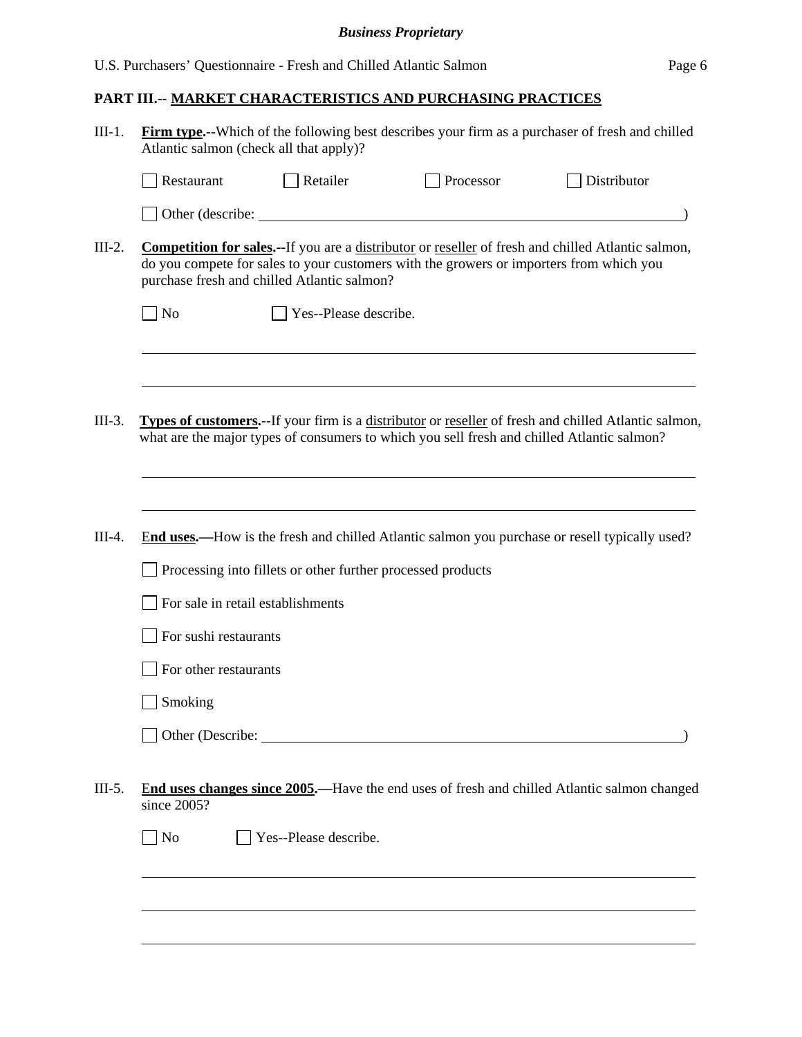## **PART III.-- MARKET CHARACTERISTICS AND PURCHASING PRACTICES**

| $III-1.$ | Atlantic salmon (check all that apply)? |                                                             |                                                                                            | Firm type.--Which of the following best describes your firm as a purchaser of fresh and chilled              |
|----------|-----------------------------------------|-------------------------------------------------------------|--------------------------------------------------------------------------------------------|--------------------------------------------------------------------------------------------------------------|
|          | Restaurant                              | Retailer                                                    | Processor                                                                                  | Distributor                                                                                                  |
|          | Other (describe:                        |                                                             |                                                                                            |                                                                                                              |
| $III-2.$ |                                         | purchase fresh and chilled Atlantic salmon?                 | do you compete for sales to your customers with the growers or importers from which you    | <b>Competition for sales.--If</b> you are a distributor or reseller of fresh and chilled Atlantic salmon,    |
|          | $\blacksquare$ No                       | Yes--Please describe.                                       |                                                                                            |                                                                                                              |
|          |                                         |                                                             |                                                                                            |                                                                                                              |
| III-3.   |                                         |                                                             | what are the major types of consumers to which you sell fresh and chilled Atlantic salmon? | <b>Types of customers.</b> --If your firm is a distributor or reseller of fresh and chilled Atlantic salmon, |
|          |                                         |                                                             |                                                                                            |                                                                                                              |
| $III-4.$ |                                         |                                                             |                                                                                            | End uses.—How is the fresh and chilled Atlantic salmon you purchase or resell typically used?                |
|          |                                         | Processing into fillets or other further processed products |                                                                                            |                                                                                                              |
|          | For sale in retail establishments       |                                                             |                                                                                            |                                                                                                              |
|          | For sushi restaurants                   |                                                             |                                                                                            |                                                                                                              |
|          | For other restaurants                   |                                                             |                                                                                            |                                                                                                              |
|          | Smoking                                 |                                                             |                                                                                            |                                                                                                              |
|          |                                         |                                                             | Other (Describe: 2008)                                                                     |                                                                                                              |
| $III-5.$ | since 2005?                             |                                                             |                                                                                            | End uses changes since 2005.—Have the end uses of fresh and chilled Atlantic salmon changed                  |
|          | $\Box$ No                               | Yes--Please describe.                                       |                                                                                            |                                                                                                              |
|          |                                         |                                                             |                                                                                            |                                                                                                              |
|          |                                         |                                                             |                                                                                            |                                                                                                              |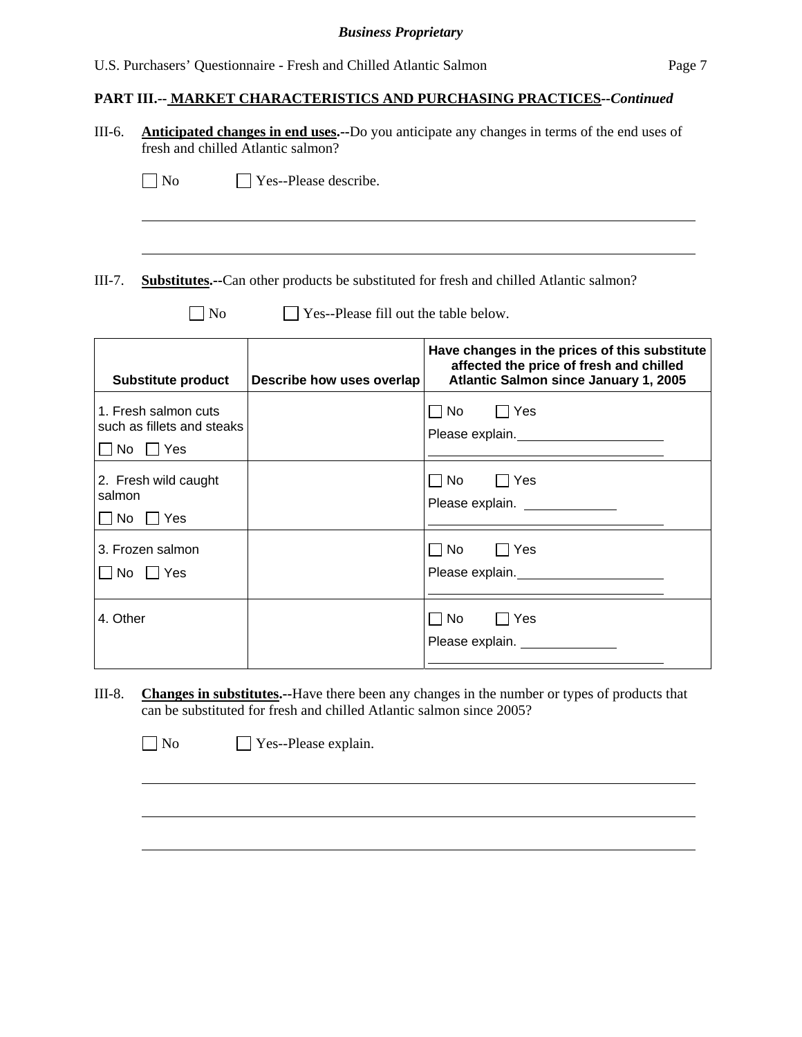## **PART III.-- MARKET CHARACTERISTICS AND PURCHASING PRACTICES***--Continued*

| <b>Anticipated changes in end uses.</b> --Do you anticipate any changes in terms of the end uses of<br>fresh and chilled Atlantic salmon? |                                                                                                                                                                                                                                                                |  |
|-------------------------------------------------------------------------------------------------------------------------------------------|----------------------------------------------------------------------------------------------------------------------------------------------------------------------------------------------------------------------------------------------------------------|--|
|                                                                                                                                           |                                                                                                                                                                                                                                                                |  |
|                                                                                                                                           |                                                                                                                                                                                                                                                                |  |
|                                                                                                                                           | <b>Substitutes.</b> --Can other products be substituted for fresh and chilled Atlantic salmon?                                                                                                                                                                 |  |
| Yes--Please fill out the table below.                                                                                                     |                                                                                                                                                                                                                                                                |  |
| Describe how uses overlap                                                                                                                 | Have changes in the prices of this substitute<br>affected the price of fresh and chilled<br>Atlantic Salmon since January 1, 2005                                                                                                                              |  |
|                                                                                                                                           | $\sqsupset$ Yes<br>$\Box$ No<br>Please explain. Notice that the set of the set of the set of the set of the set of the set of the set of the set of the set of the set of the set of the set of the set of the set of the set of the set of the set of the set |  |
|                                                                                                                                           | $\Box$ No<br>∏ Yes<br>Please explain. ______________                                                                                                                                                                                                           |  |
|                                                                                                                                           | No<br>  Yes<br>Please explain.<br><u> </u>                                                                                                                                                                                                                     |  |
|                                                                                                                                           | $\Box$ No<br>∣ Yes<br>Please explain.                                                                                                                                                                                                                          |  |
|                                                                                                                                           | Yes--Please describe.<br>such as fillets and steaks                                                                                                                                                                                                            |  |

III-8. **Changes in substitutes.--**Have there been any changes in the number or types of products that can be substituted for fresh and chilled Atlantic salmon since 2005?

No **No** Yes--Please explain.

 $\overline{a}$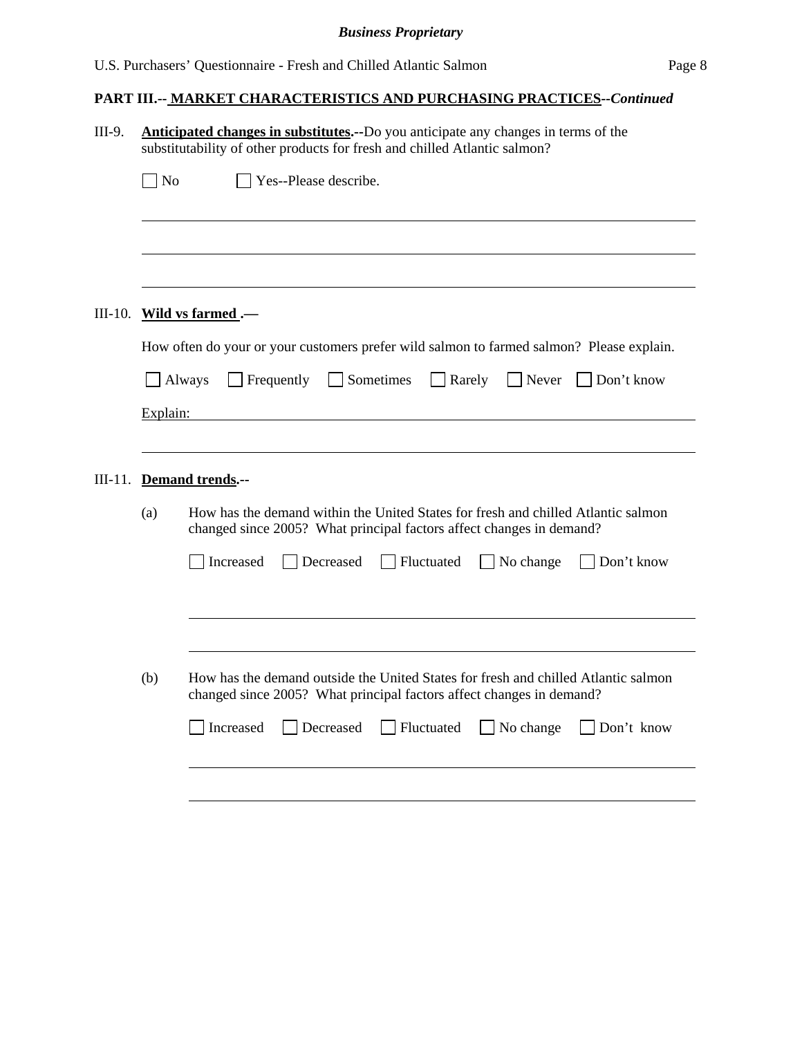| substitutability of other products for fresh and chilled Atlantic salmon?<br>Yes--Please describe.<br>] No                                                 |
|------------------------------------------------------------------------------------------------------------------------------------------------------------|
|                                                                                                                                                            |
|                                                                                                                                                            |
|                                                                                                                                                            |
| Wild vs farmed.-                                                                                                                                           |
| How often do your or your customers prefer wild salmon to farmed salmon? Please explain.                                                                   |
| $\Box$ Sometimes<br>$\Box$ Rarely<br>Never<br>$\Box$ Don't know<br>$\Box$ Always<br>Frequently                                                             |
| Explain:                                                                                                                                                   |
|                                                                                                                                                            |
| III-11. Demand trends .--                                                                                                                                  |
| How has the demand within the United States for fresh and chilled Atlantic salmon<br>changed since 2005? What principal factors affect changes in demand?  |
| Decreased<br>Fluctuated<br>Don't know<br>Increased<br>$\Box$ No change                                                                                     |
|                                                                                                                                                            |
| How has the demand outside the United States for fresh and chilled Atlantic salmon<br>changed since 2005? What principal factors affect changes in demand? |
| $\Box$ Fluctuated<br>$\Box$ Don't know<br>Increased<br>Decreased<br>$\Box$ No change                                                                       |
|                                                                                                                                                            |
| (a)<br>(b)                                                                                                                                                 |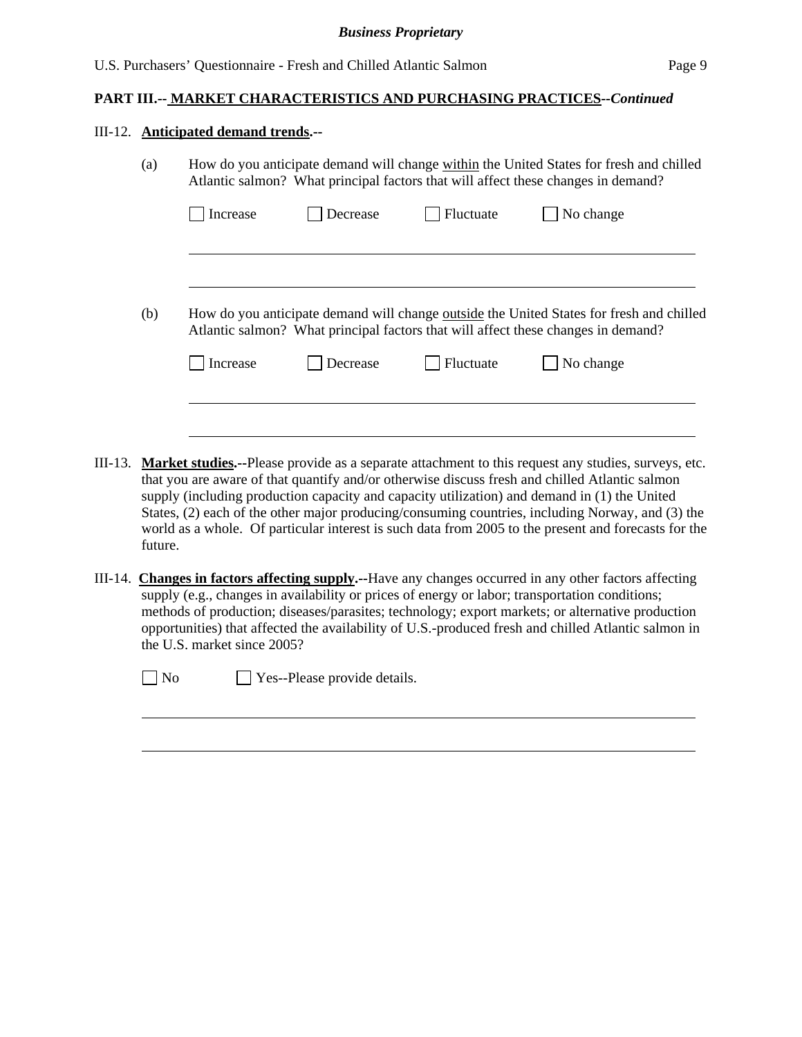#### III-12. **Anticipated demand trends.--**

| Increase | Decrease                                                                          | Fluctuate | No change                                                                                       |
|----------|-----------------------------------------------------------------------------------|-----------|-------------------------------------------------------------------------------------------------|
|          |                                                                                   |           |                                                                                                 |
|          |                                                                                   |           |                                                                                                 |
|          |                                                                                   |           |                                                                                                 |
|          |                                                                                   |           |                                                                                                 |
|          | Atlantic salmon? What principal factors that will affect these changes in demand? |           | How do you anticipate demand will change <u>outside</u> the United States for fresh and chilled |

- III-13. **Market studies.--**Please provide as a separate attachment to this request any studies, surveys, etc. that you are aware of that quantify and/or otherwise discuss fresh and chilled Atlantic salmon supply (including production capacity and capacity utilization) and demand in (1) the United States, (2) each of the other major producing/consuming countries, including Norway, and (3) the world as a whole. Of particular interest is such data from 2005 to the present and forecasts for the future.
- III-14. **Changes in factors affecting supply.--**Have any changes occurred in any other factors affecting supply (e.g., changes in availability or prices of energy or labor; transportation conditions; methods of production; diseases/parasites; technology; export markets; or alternative production opportunities) that affected the availability of U.S.-produced fresh and chilled Atlantic salmon in the U.S. market since 2005?

 $\overline{a}$ 

 $\neg$  No  $\neg$  Yes--Please provide details.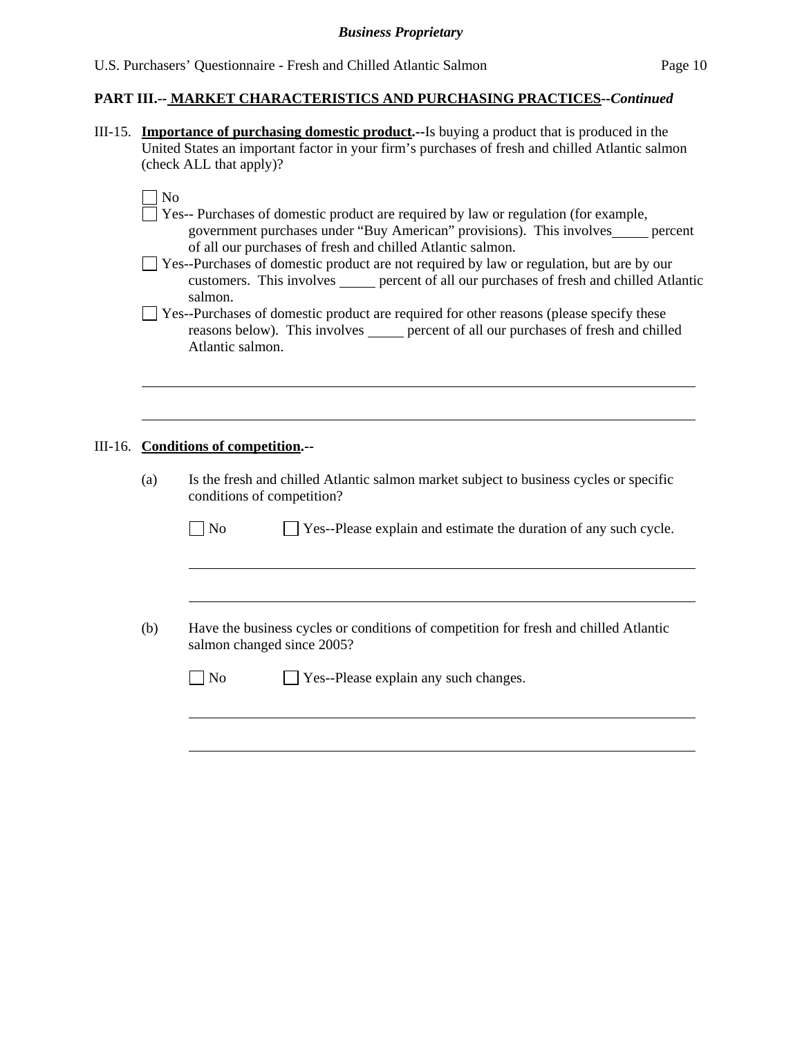III-15. **Importance of purchasing domestic product.--**Is buying a product that is produced in the United States an important factor in your firm's purchases of fresh and chilled Atlantic salmon (check ALL that apply)?

| ×<br>۰. |
|---------|
|         |

 $\overline{a}$ 

- Yes-- Purchases of domestic product are required by law or regulation (for example, government purchases under "Buy American" provisions). This involves percent of all our purchases of fresh and chilled Atlantic salmon.
- Yes--Purchases of domestic product are not required by law or regulation, but are by our customers. This involves percent of all our purchases of fresh and chilled Atlantic salmon.
- $\Box$  Yes--Purchases of domestic product are required for other reasons (please specify these reasons below). This involves <u>percent of all our purchases of fresh and chilled</u> Atlantic salmon.

#### III-16. **Conditions of competition.--**

 $\overline{a}$ 

 $\overline{a}$ 

(a) Is the fresh and chilled Atlantic salmon market subject to business cycles or specific conditions of competition?

 $\Box$  No  $\Box$  Yes--Please explain and estimate the duration of any such cycle.

(b) Have the business cycles or conditions of competition for fresh and chilled Atlantic salmon changed since 2005?

| $\Box$ No<br>$\Box$ Yes--Please explain any such changes. |  |
|-----------------------------------------------------------|--|
|-----------------------------------------------------------|--|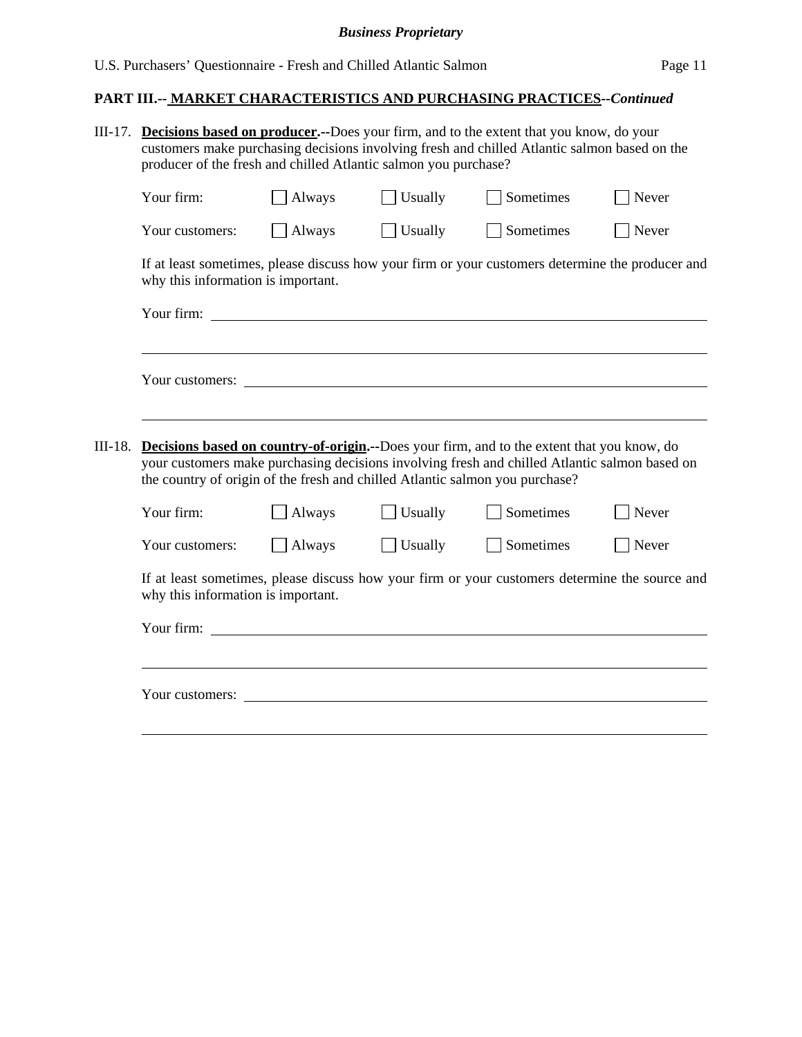## **PART III.-- MARKET CHARACTERISTICS AND PURCHASING PRACTICES***--Continued*

| III-17. | <b>Decisions based on producer.</b> --Does your firm, and to the extent that you know, do your<br>customers make purchasing decisions involving fresh and chilled Atlantic salmon based on the<br>producer of the fresh and chilled Atlantic salmon you purchase? |               |         |                                                                                                  |       |  |  |
|---------|-------------------------------------------------------------------------------------------------------------------------------------------------------------------------------------------------------------------------------------------------------------------|---------------|---------|--------------------------------------------------------------------------------------------------|-------|--|--|
|         | Your firm:                                                                                                                                                                                                                                                        | Always        | Usually | Sometimes                                                                                        | Never |  |  |
|         | Your customers:                                                                                                                                                                                                                                                   | Always        | Usually | Sometimes                                                                                        | Never |  |  |
|         | why this information is important.                                                                                                                                                                                                                                |               |         | If at least sometimes, please discuss how your firm or your customers determine the producer and |       |  |  |
|         |                                                                                                                                                                                                                                                                   |               |         |                                                                                                  |       |  |  |
| III-18. | Your customers:<br><b>Decisions based on country-of-origin.</b> --Does your firm, and to the extent that you know, do<br>your customers make purchasing decisions involving fresh and chilled Atlantic salmon based on                                            |               |         |                                                                                                  |       |  |  |
|         | the country of origin of the fresh and chilled Atlantic salmon you purchase?<br>Your firm:                                                                                                                                                                        | Always        | Usually | Sometimes                                                                                        | Never |  |  |
|         | Your customers:                                                                                                                                                                                                                                                   | $\Box$ Always | Usually | Sometimes                                                                                        | Never |  |  |
|         | If at least sometimes, please discuss how your firm or your customers determine the source and<br>why this information is important.                                                                                                                              |               |         |                                                                                                  |       |  |  |
|         | Your firm: <u>contract the set of the set of the set of the set of the set of the set of the set of the set of the set of the set of the set of the set of the set of the set of the set of the set of the set of the set of the</u>                              |               |         |                                                                                                  |       |  |  |
|         |                                                                                                                                                                                                                                                                   |               |         |                                                                                                  |       |  |  |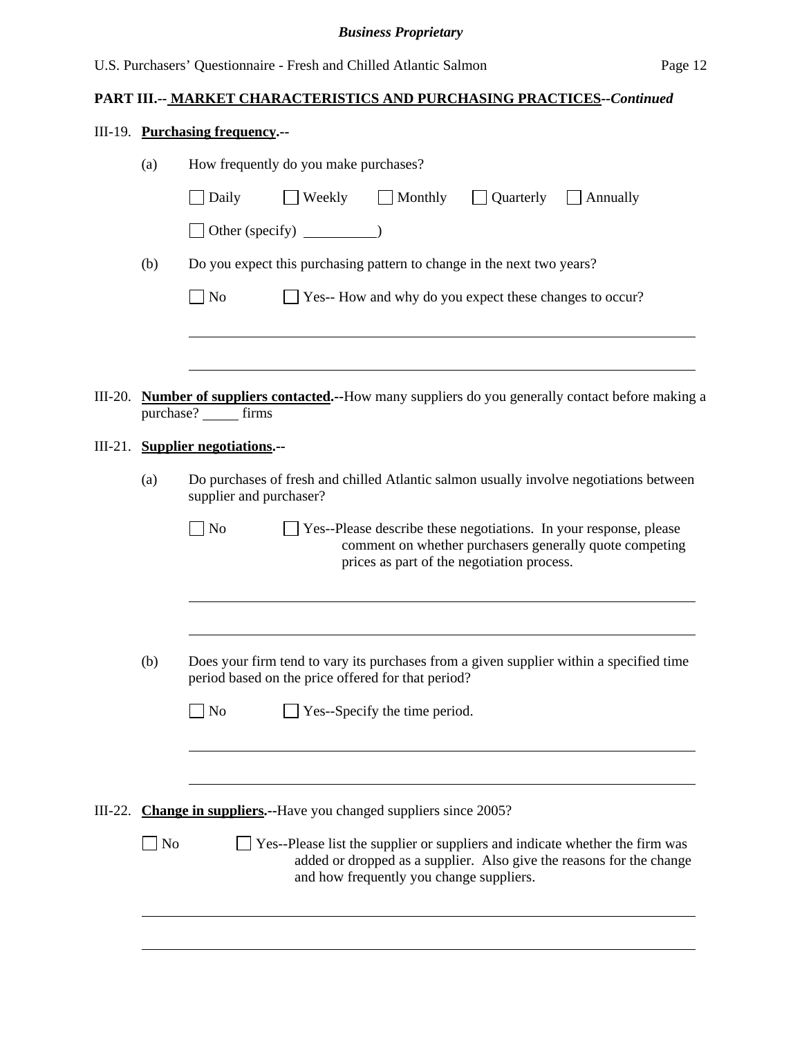## **PART III.-- MARKET CHARACTERISTICS AND PURCHASING PRACTICES***--Continued*

| III-19. Purchasing frequency.-- |  |
|---------------------------------|--|
|                                 |  |

|         | (a) | How frequently do you make purchases?                                                                                                                                                            |
|---------|-----|--------------------------------------------------------------------------------------------------------------------------------------------------------------------------------------------------|
|         |     | $\Box$ Weekly<br>$\Box$ Monthly<br>$\Box$ Quarterly<br>Daily<br>$\Box$ Annually                                                                                                                  |
|         |     | Other (specify) $\qquad \qquad$                                                                                                                                                                  |
|         | (b) | Do you expect this purchasing pattern to change in the next two years?                                                                                                                           |
|         |     | $\Box$ No<br>Yes-- How and why do you expect these changes to occur?                                                                                                                             |
|         |     |                                                                                                                                                                                                  |
|         |     | III-20. Number of suppliers contacted.--How many suppliers do you generally contact before making a<br>purchase? ______ firms                                                                    |
| III-21. |     | <b>Supplier negotiations.--</b>                                                                                                                                                                  |
|         | (a) | Do purchases of fresh and chilled Atlantic salmon usually involve negotiations between<br>supplier and purchaser?                                                                                |
|         |     | No<br>Yes--Please describe these negotiations. In your response, please<br>comment on whether purchasers generally quote competing<br>prices as part of the negotiation process.                 |
|         | (b) |                                                                                                                                                                                                  |
|         |     | Does your firm tend to vary its purchases from a given supplier within a specified time<br>period based on the price offered for that period?                                                    |
|         |     | N <sub>o</sub><br>Yes--Specify the time period.                                                                                                                                                  |
|         |     |                                                                                                                                                                                                  |
| III-22. |     | Change in suppliers.--Have you changed suppliers since 2005?                                                                                                                                     |
|         | No  | Yes--Please list the supplier or suppliers and indicate whether the firm was<br>added or dropped as a supplier. Also give the reasons for the change<br>and how frequently you change suppliers. |
|         |     |                                                                                                                                                                                                  |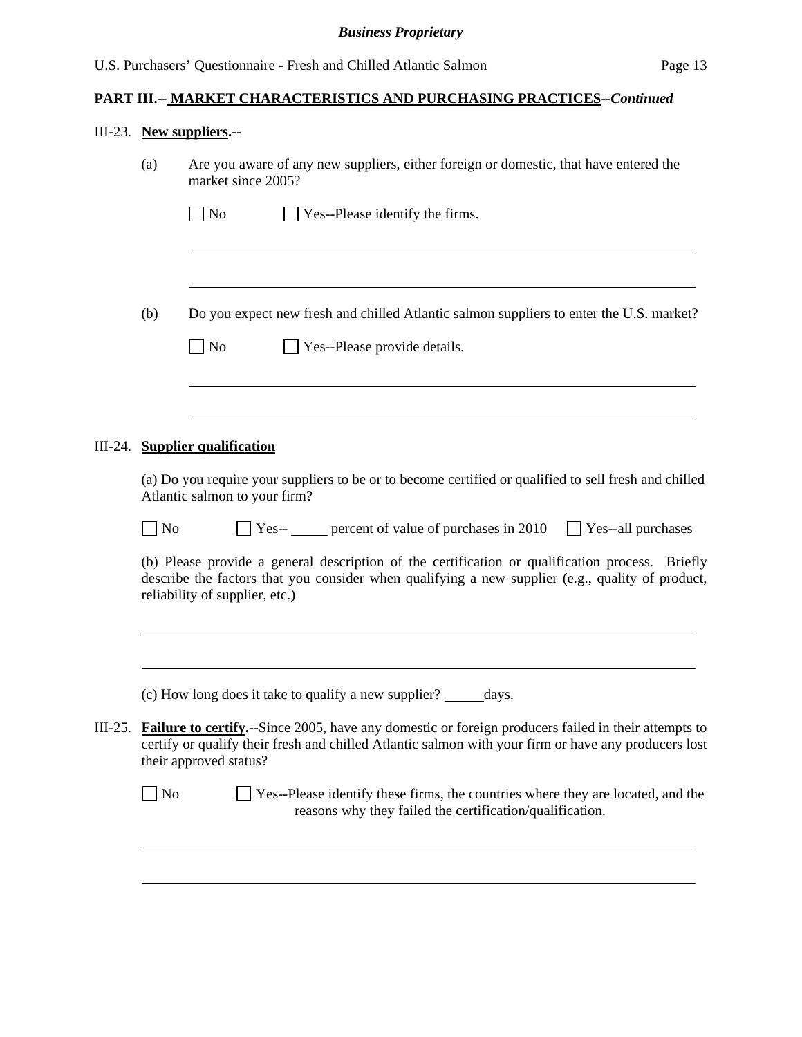#### III-23. **New suppliers.--**

| (a) | Are you aware of any new suppliers, either foreign or domestic, that have entered the |  |
|-----|---------------------------------------------------------------------------------------|--|
|     | market since 2005?                                                                    |  |

| $\Box$ No | $\Box$ Yes--Please identify the firms. |
|-----------|----------------------------------------|
|           |                                        |

- (b) Do you expect new fresh and chilled Atlantic salmon suppliers to enter the U.S. market?
	- No **No** Yes--Please provide details.

#### III-24. **Supplier qualification**

l

l

 $\overline{a}$ 

 $\overline{a}$ 

(a) Do you require your suppliers to be or to become certified or qualified to sell fresh and chilled Atlantic salmon to your firm?

| $ $ No | $Yes-$ | percent of value of purchases in 2010 | Yes--all purchases |
|--------|--------|---------------------------------------|--------------------|
|--------|--------|---------------------------------------|--------------------|

(b) Please provide a general description of the certification or qualification process. Briefly describe the factors that you consider when qualifying a new supplier (e.g., quality of product, reliability of supplier, etc.)

(c) How long does it take to qualify a new supplier? days.

III-25. **Failure to certify.--**Since 2005, have any domestic or foreign producers failed in their attempts to certify or qualify their fresh and chilled Atlantic salmon with your firm or have any producers lost their approved status?

| $\Box$ No | $\Box$ Yes--Please identify these firms, the countries where they are located, and the |
|-----------|----------------------------------------------------------------------------------------|
|           | reasons why they failed the certification/qualification.                               |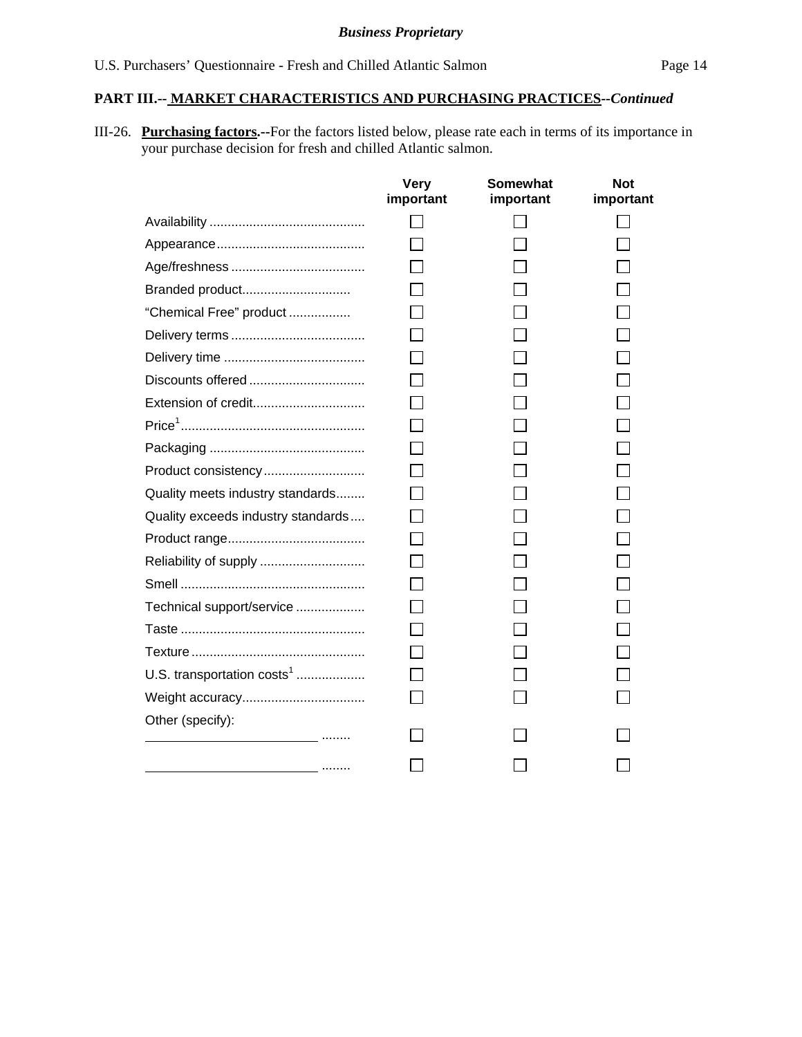III-26. **Purchasing factors.--**For the factors listed below, please rate each in terms of its importance in your purchase decision for fresh and chilled Atlantic salmon.

|                                        | <b>Very</b><br>important | <b>Somewhat</b><br>important | <b>Not</b><br>important |
|----------------------------------------|--------------------------|------------------------------|-------------------------|
|                                        |                          |                              |                         |
|                                        |                          |                              |                         |
|                                        |                          |                              |                         |
| Branded product                        |                          |                              |                         |
| "Chemical Free" product                |                          |                              |                         |
|                                        |                          |                              |                         |
|                                        |                          |                              |                         |
| Discounts offered                      |                          |                              |                         |
| Extension of credit                    |                          |                              |                         |
|                                        |                          |                              |                         |
|                                        |                          |                              |                         |
| Product consistency                    |                          |                              |                         |
| Quality meets industry standards       |                          |                              |                         |
| Quality exceeds industry standards     |                          |                              |                         |
|                                        |                          |                              |                         |
|                                        |                          |                              |                         |
|                                        |                          |                              |                         |
| Technical support/service              |                          |                              |                         |
|                                        |                          |                              |                         |
|                                        |                          |                              |                         |
| U.S. transportation costs <sup>1</sup> |                          |                              |                         |
|                                        |                          |                              |                         |
| Other (specify):                       |                          |                              |                         |
|                                        |                          |                              |                         |
| .                                      |                          |                              |                         |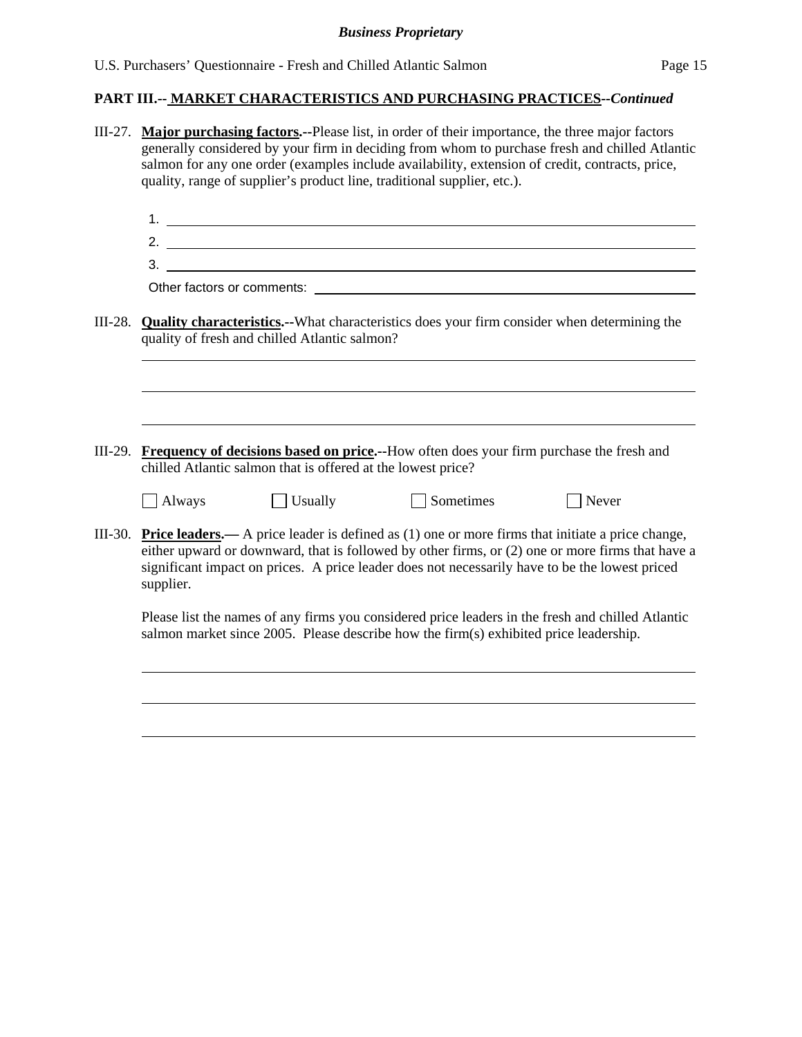|           | III-27. Major purchasing factors.--Please list, in order of their importance, the three major factors<br>generally considered by your firm in deciding from whom to purchase fresh and chilled Atlantic<br>salmon for any one order (examples include availability, extension of credit, contracts, price,<br>quality, range of supplier's product line, traditional supplier, etc.). |  |  |  |  |
|-----------|---------------------------------------------------------------------------------------------------------------------------------------------------------------------------------------------------------------------------------------------------------------------------------------------------------------------------------------------------------------------------------------|--|--|--|--|
|           |                                                                                                                                                                                                                                                                                                                                                                                       |  |  |  |  |
|           |                                                                                                                                                                                                                                                                                                                                                                                       |  |  |  |  |
|           | $\frac{1}{2}$                                                                                                                                                                                                                                                                                                                                                                         |  |  |  |  |
| $III-28.$ | <b>Quality characteristics.</b> --What characteristics does your firm consider when determining the<br>quality of fresh and chilled Atlantic salmon?                                                                                                                                                                                                                                  |  |  |  |  |
|           |                                                                                                                                                                                                                                                                                                                                                                                       |  |  |  |  |
|           |                                                                                                                                                                                                                                                                                                                                                                                       |  |  |  |  |
|           | III-29. Frequency of decisions based on price.--How often does your firm purchase the fresh and<br>chilled Atlantic salmon that is offered at the lowest price?                                                                                                                                                                                                                       |  |  |  |  |
|           | $\Box$ Sometimes<br>$\Box$ Usually<br>$\Box$ Always<br>Never                                                                                                                                                                                                                                                                                                                          |  |  |  |  |
|           | III-30. Price leaders.— A price leader is defined as $(1)$ one or more firms that initiate a price change,<br>either upward or downward, that is followed by other firms, or (2) one or more firms that have a<br>significant impact on prices. A price leader does not necessarily have to be the lowest priced<br>supplier.                                                         |  |  |  |  |
|           | Please list the names of any firms you considered price leaders in the fresh and chilled Atlantic<br>salmon market since 2005. Please describe how the firm(s) exhibited price leadership.                                                                                                                                                                                            |  |  |  |  |
|           |                                                                                                                                                                                                                                                                                                                                                                                       |  |  |  |  |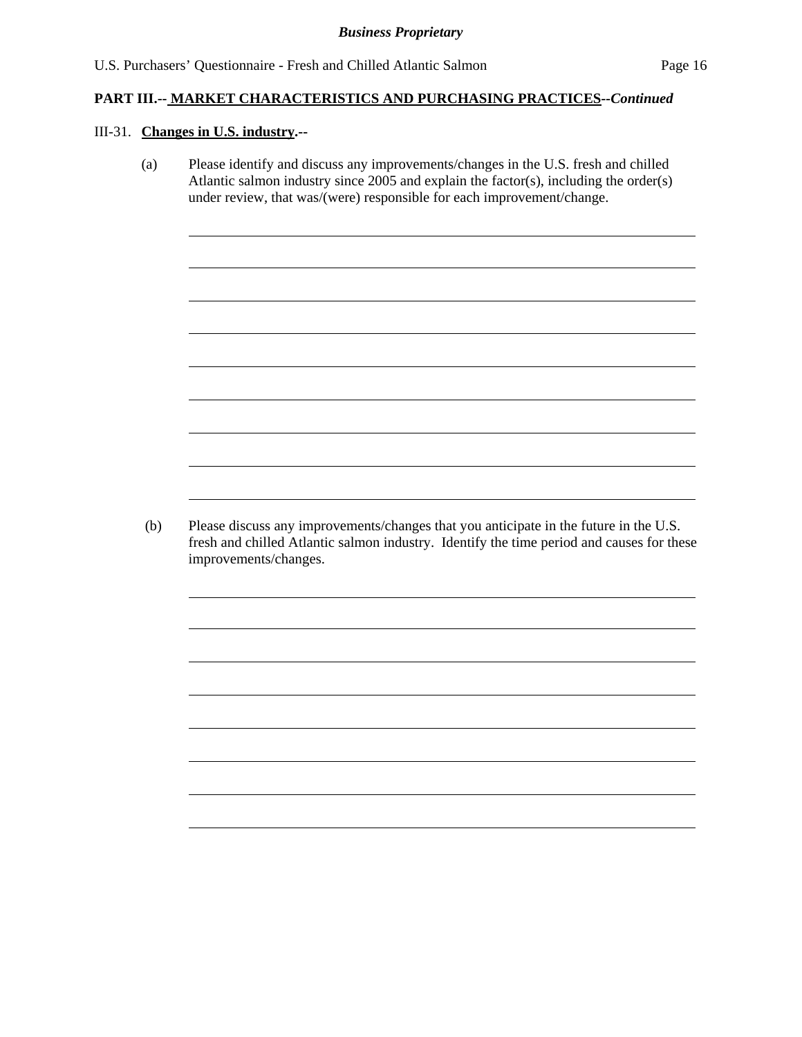#### III-31. **Changes in U.S. industry.--**

(a) Please identify and discuss any improvements/changes in the U.S. fresh and chilled Atlantic salmon industry since 2005 and explain the factor(s), including the order(s) under review, that was/(were) responsible for each improvement/change.

 (b) Please discuss any improvements/changes that you anticipate in the future in the U.S. fresh and chilled Atlantic salmon industry. Identify the time period and causes for these improvements/changes.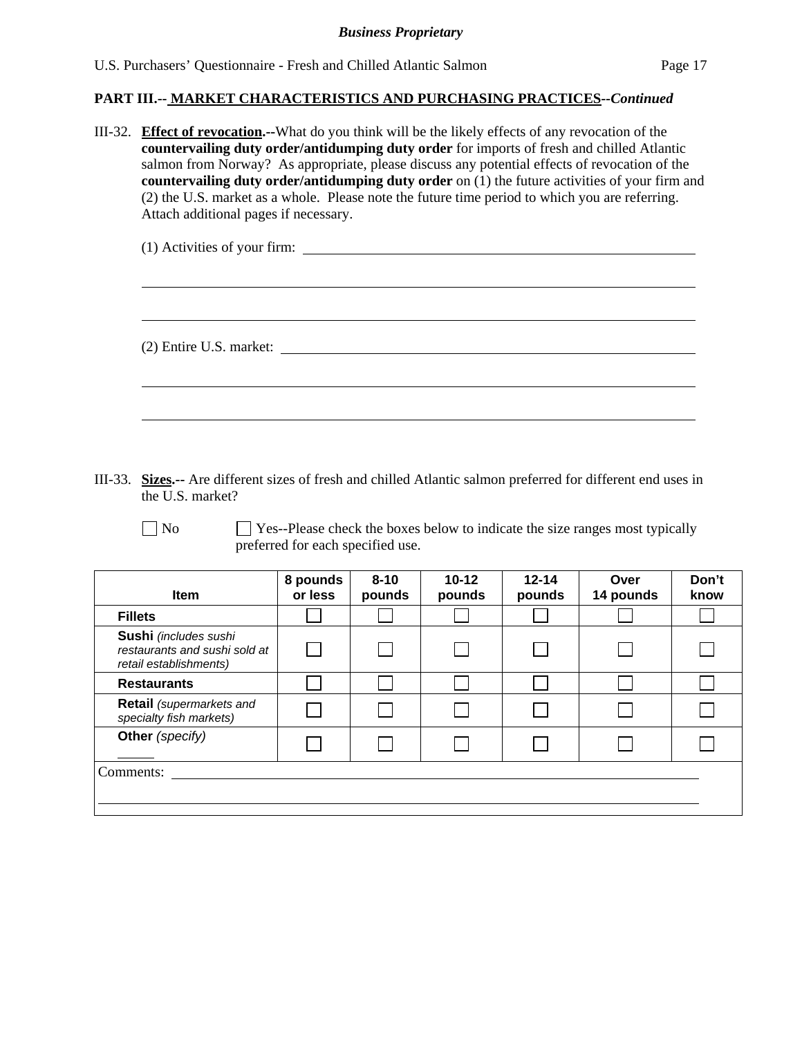III-32. **Effect of revocation.--**What do you think will be the likely effects of any revocation of the **countervailing duty order/antidumping duty order** for imports of fresh and chilled Atlantic salmon from Norway? As appropriate, please discuss any potential effects of revocation of the **countervailing duty order/antidumping duty order** on (1) the future activities of your firm and (2) the U.S. market as a whole. Please note the future time period to which you are referring. Attach additional pages if necessary.

| (1) Activities of your firm: |  |
|------------------------------|--|
|                              |  |
|                              |  |
|                              |  |
| (2) Entire U.S. market:      |  |

III-33. **Sizes.--** Are different sizes of fresh and chilled Atlantic salmon preferred for different end uses in the U.S. market?

 $\Box$  No  $\Box$  Yes--Please check the boxes below to indicate the size ranges most typically preferred for each specified use.

| <b>Item</b>                                                                      | 8 pounds<br>or less | $8 - 10$<br>pounds | $10 - 12$<br>pounds | $12 - 14$<br>pounds | Over<br>14 pounds | Don't<br>know |
|----------------------------------------------------------------------------------|---------------------|--------------------|---------------------|---------------------|-------------------|---------------|
| <b>Fillets</b>                                                                   |                     |                    |                     |                     |                   |               |
| Sushi (includes sushi<br>restaurants and sushi sold at<br>retail establishments) |                     |                    |                     |                     |                   |               |
| <b>Restaurants</b>                                                               |                     |                    |                     |                     |                   |               |
| <b>Retail</b> (supermarkets and<br>specialty fish markets)                       |                     |                    |                     |                     |                   |               |
| Other (specify)                                                                  |                     |                    |                     |                     |                   |               |
| Comments:                                                                        |                     |                    |                     |                     |                   |               |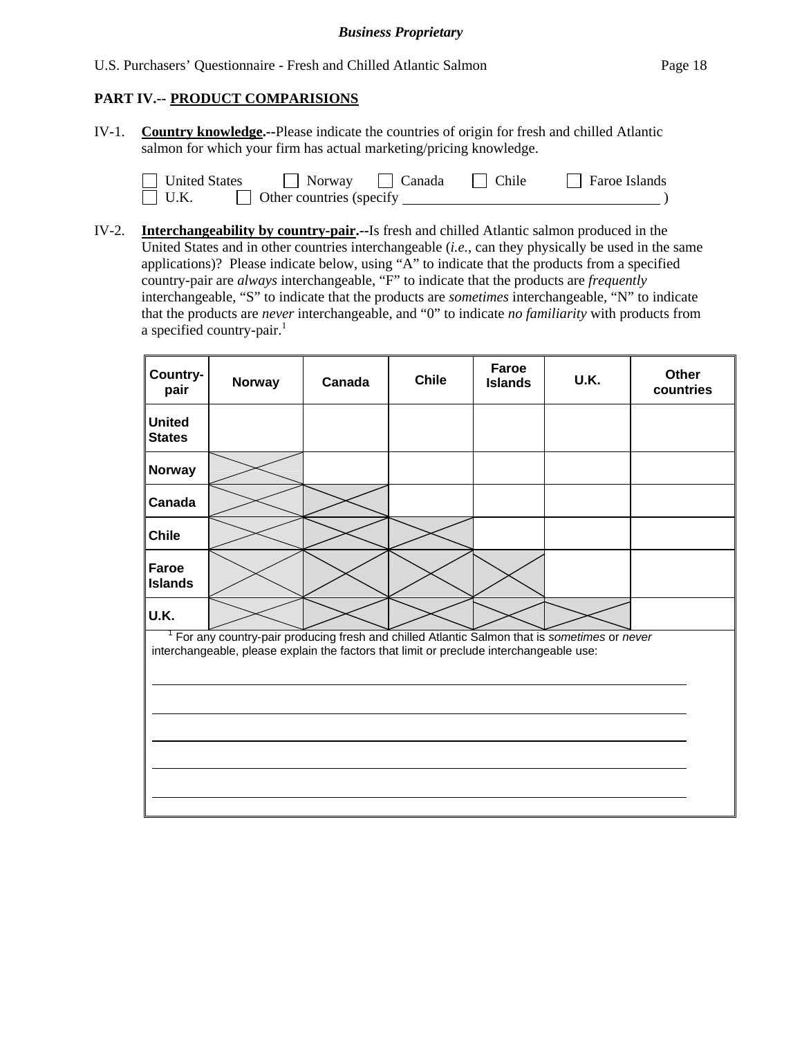U.S. Purchasers' Questionnaire - Fresh and Chilled Atlantic Salmon Page 18

### **PART IV.-- PRODUCT COMPARISIONS**

IV-1. **Country knowledge.--**Please indicate the countries of origin for fresh and chilled Atlantic salmon for which your firm has actual marketing/pricing knowledge.

| <b>United States</b> | Norway                   | Canada | Chile | <b>Faroe Islands</b> |
|----------------------|--------------------------|--------|-------|----------------------|
| $ $ U.K.             | Other countries (specify |        |       |                      |

IV-2. **Interchangeability by country-pair.--**Is fresh and chilled Atlantic salmon produced in the United States and in other countries interchangeable (*i.e.*, can they physically be used in the same applications)? Please indicate below, using "A" to indicate that the products from a specified country-pair are *always* interchangeable, "F" to indicate that the products are *frequently* interchangeable, "S" to indicate that the products are *sometimes* interchangeable, "N" to indicate that the products are *never* interchangeable, and "0" to indicate *no familiarity* with products from a specified country-pair. $<sup>1</sup>$ </sup>

| Country-<br>pair                                                                                                                                                                       | Norway | Canada | <b>Chile</b> | Faroe<br><b>Islands</b> | U.K. | Other<br>countries |  |  |
|----------------------------------------------------------------------------------------------------------------------------------------------------------------------------------------|--------|--------|--------------|-------------------------|------|--------------------|--|--|
| <b>United</b><br><b>States</b>                                                                                                                                                         |        |        |              |                         |      |                    |  |  |
| Norway                                                                                                                                                                                 |        |        |              |                         |      |                    |  |  |
| Canada                                                                                                                                                                                 |        |        |              |                         |      |                    |  |  |
| <b>Chile</b>                                                                                                                                                                           |        |        |              |                         |      |                    |  |  |
| Faroe<br><b>Islands</b>                                                                                                                                                                |        |        |              |                         |      |                    |  |  |
| U.K.                                                                                                                                                                                   |        |        |              |                         |      |                    |  |  |
| For any country-pair producing fresh and chilled Atlantic Salmon that is sometimes or never<br>interchangeable, please explain the factors that limit or preclude interchangeable use: |        |        |              |                         |      |                    |  |  |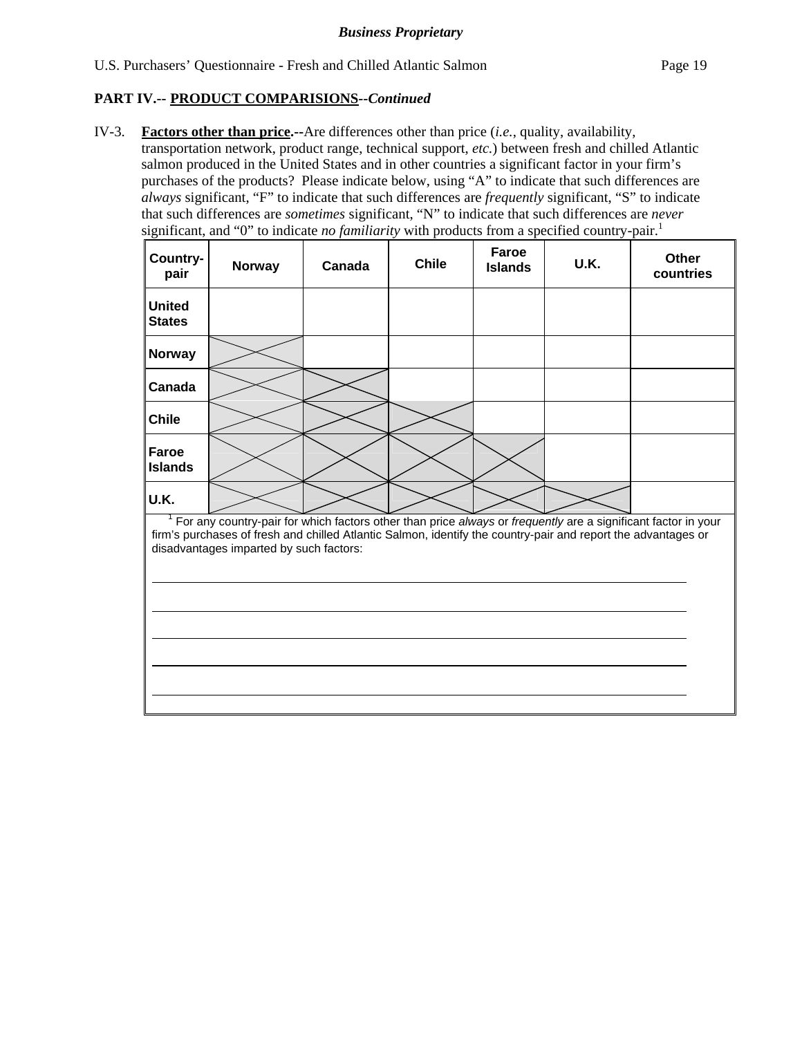### **PART IV.-- PRODUCT COMPARISIONS***--Continued*

IV-3. **Factors other than price.--**Are differences other than price (*i.e.*, quality, availability, transportation network, product range, technical support, *etc.*) between fresh and chilled Atlantic salmon produced in the United States and in other countries a significant factor in your firm's purchases of the products? Please indicate below, using "A" to indicate that such differences are *always* significant, "F" to indicate that such differences are *frequently* significant, "S" to indicate that such differences are *sometimes* significant, "N" to indicate that such differences are *never* significant, and "0" to indicate *no familiarity* with products from a specified country-pair.<sup>1</sup>

| Country-<br>pair               | <b>Norway</b>                                                                                                                                                                                                                                                             | Canada | <b>Chile</b> | Faroe<br><b>Islands</b> | U.K. | <b>Other</b><br>countries |
|--------------------------------|---------------------------------------------------------------------------------------------------------------------------------------------------------------------------------------------------------------------------------------------------------------------------|--------|--------------|-------------------------|------|---------------------------|
| <b>United</b><br><b>States</b> |                                                                                                                                                                                                                                                                           |        |              |                         |      |                           |
| <b>Norway</b>                  |                                                                                                                                                                                                                                                                           |        |              |                         |      |                           |
| Canada                         |                                                                                                                                                                                                                                                                           |        |              |                         |      |                           |
| <b>Chile</b>                   |                                                                                                                                                                                                                                                                           |        |              |                         |      |                           |
| Faroe<br><b>Islands</b>        |                                                                                                                                                                                                                                                                           |        |              |                         |      |                           |
| U.K.                           |                                                                                                                                                                                                                                                                           |        |              |                         |      |                           |
|                                | For any country-pair for which factors other than price always or frequently are a significant factor in your<br>firm's purchases of fresh and chilled Atlantic Salmon, identify the country-pair and report the advantages or<br>disadvantages imparted by such factors: |        |              |                         |      |                           |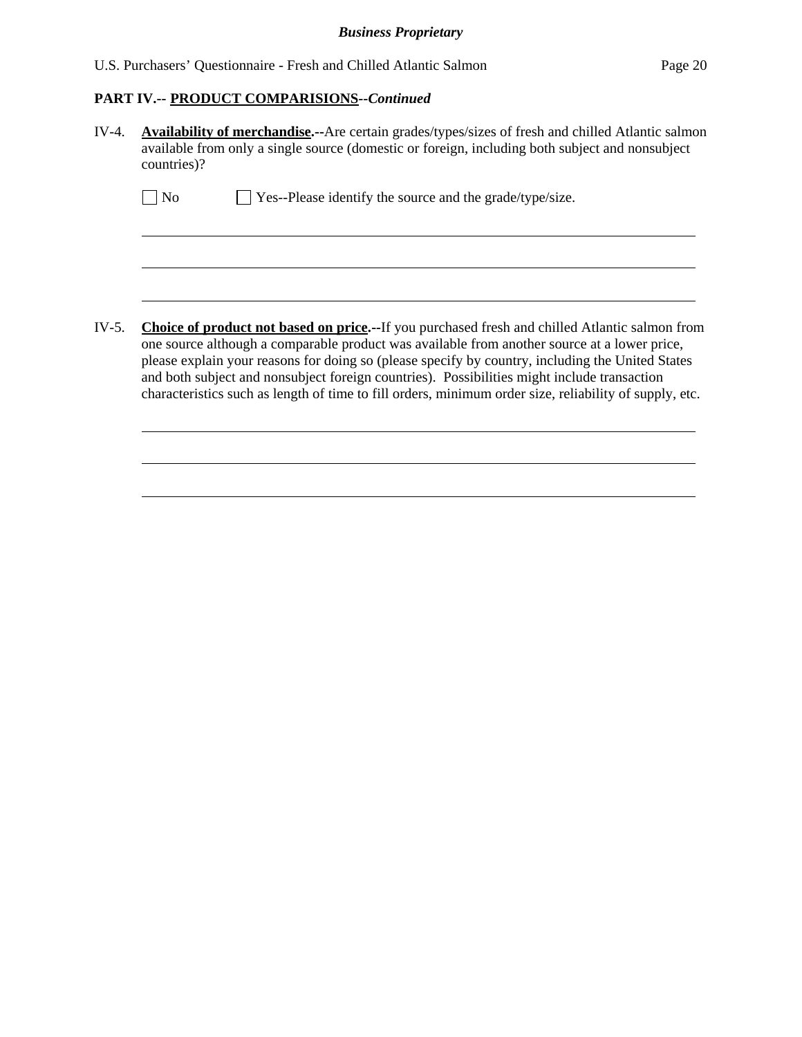# **PART IV.-- PRODUCT COMPARISIONS***--Continued*

| $IV-4.$ | Availability of merchandise.--Are certain grades/types/sizes of fresh and chilled Atlantic salmon<br>available from only a single source (domestic or foreign, including both subject and nonsubject<br>countries)?                                                                                                                                                                                                                                                                                                 |
|---------|---------------------------------------------------------------------------------------------------------------------------------------------------------------------------------------------------------------------------------------------------------------------------------------------------------------------------------------------------------------------------------------------------------------------------------------------------------------------------------------------------------------------|
|         | Yes--Please identify the source and the grade/type/size.<br>No                                                                                                                                                                                                                                                                                                                                                                                                                                                      |
|         |                                                                                                                                                                                                                                                                                                                                                                                                                                                                                                                     |
|         |                                                                                                                                                                                                                                                                                                                                                                                                                                                                                                                     |
| IV-5.   | <b>Choice of product not based on price.</b> --If you purchased fresh and chilled Atlantic salmon from<br>one source although a comparable product was available from another source at a lower price,<br>please explain your reasons for doing so (please specify by country, including the United States<br>and both subject and nonsubject foreign countries). Possibilities might include transaction<br>characteristics such as length of time to fill orders, minimum order size, reliability of supply, etc. |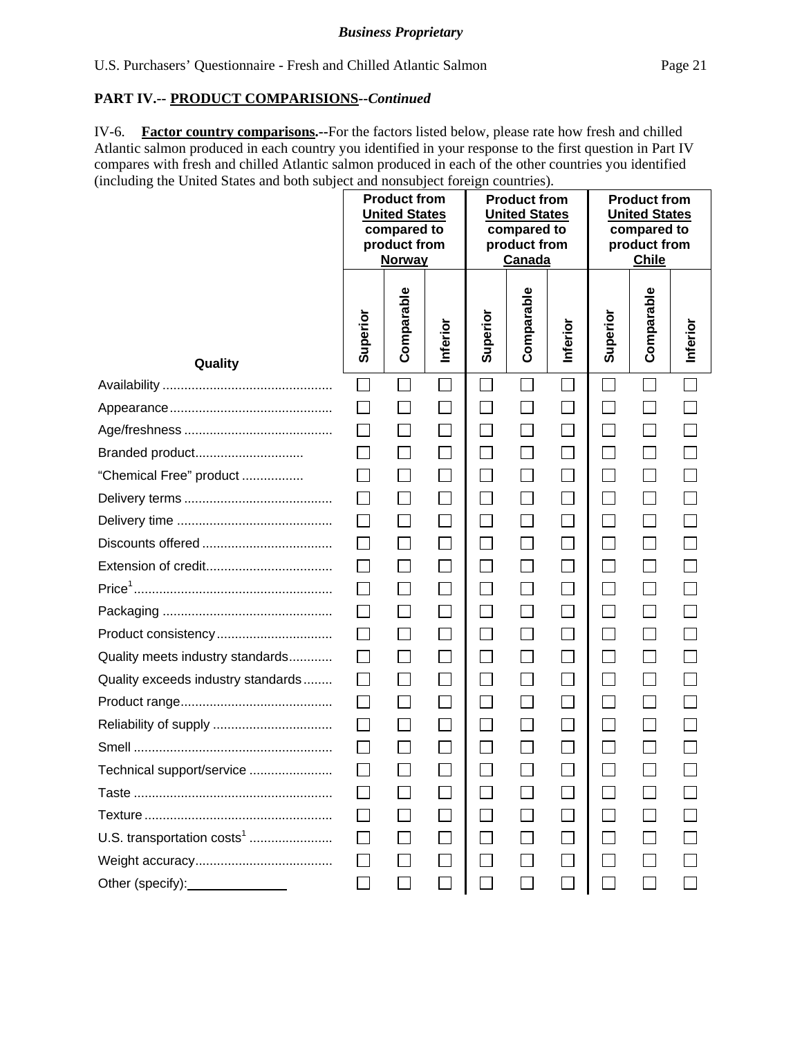### **PART IV.-- PRODUCT COMPARISIONS***--Continued*

IV-6. **Factor country comparisons.--**For the factors listed below, please rate how fresh and chilled Atlantic salmon produced in each country you identified in your response to the first question in Part IV compares with fresh and chilled Atlantic salmon produced in each of the other countries you identified (including the United States and both subject and nonsubject foreign countries).

|                                        | <b>Product from</b><br><b>United States</b><br>compared to<br>product from<br><b>Norway</b> |                   | <b>Product from</b><br><b>United States</b><br>compared to<br>product from<br>Canada |                             |                             | <b>Product from</b><br><b>United States</b><br>compared to<br>product from<br><b>Chile</b> |                             |                             |                             |
|----------------------------------------|---------------------------------------------------------------------------------------------|-------------------|--------------------------------------------------------------------------------------|-----------------------------|-----------------------------|--------------------------------------------------------------------------------------------|-----------------------------|-----------------------------|-----------------------------|
| Quality                                | Superior                                                                                    | Comparable        | Inferior                                                                             | Superior                    | Comparable                  | Inferior                                                                                   | Superior                    | Comparable                  | Inferior                    |
|                                        | $\Box$                                                                                      |                   | $\Box$                                                                               |                             | $\mathcal{L}_{\mathcal{A}}$ | $\mathbf{I}$                                                                               | $\mathcal{L}_{\mathcal{A}}$ |                             | $\mathcal{L}_{\mathcal{A}}$ |
|                                        |                                                                                             |                   |                                                                                      |                             |                             |                                                                                            |                             |                             |                             |
|                                        |                                                                                             | $\mathbb{R}^n$    |                                                                                      | $\Box$                      | $\mathcal{L}_{\mathcal{A}}$ | $\Box$                                                                                     | $\overline{\phantom{0}}$    | $\Box$                      |                             |
| Branded product                        |                                                                                             |                   |                                                                                      | $\mathcal{L}_{\mathcal{A}}$ |                             | $\mathbb{R}^n$                                                                             | $\sim$                      | $\Box$                      |                             |
| "Chemical Free" product                |                                                                                             |                   |                                                                                      | П                           | П                           | П                                                                                          | $\Box$                      | $\Box$                      |                             |
|                                        | $\Box$                                                                                      | $\Box$            |                                                                                      | $\Box$                      | $\Box$                      | $\overline{\phantom{0}}$                                                                   | $\mathbf{L}$                | $\Box$                      |                             |
|                                        | П                                                                                           | $\vert \ \ \vert$ |                                                                                      | $\Box$                      | $\vert \ \ \vert$           | $\Box$                                                                                     | $\Box$                      | П                           |                             |
|                                        |                                                                                             |                   |                                                                                      | $\Box$                      | $\Box$                      | $\Box$                                                                                     |                             | $\mathcal{L}_{\mathcal{A}}$ |                             |
|                                        |                                                                                             |                   |                                                                                      | $\Box$                      |                             |                                                                                            |                             | $\Box$                      |                             |
|                                        | $\mathsf{L}$                                                                                | $\vert \ \ \vert$ | $\mathsf{L}$                                                                         | $\Box$                      | $\Box$                      | $\Box$                                                                                     | $\Box$                      | $\Box$                      |                             |
|                                        | $\perp$                                                                                     | $\vert \ \ \vert$ |                                                                                      | $\vert \ \ \vert$           |                             | $\Box$                                                                                     |                             | $\Box$                      |                             |
| Product consistency                    | $\mathsf{L}$                                                                                |                   |                                                                                      | $\Box$                      | $\mathbb{R}^n$              | $\Box$                                                                                     | $\mathcal{L}$               | $\Box$                      |                             |
| Quality meets industry standards       |                                                                                             |                   |                                                                                      |                             |                             |                                                                                            |                             |                             |                             |
| Quality exceeds industry standards     | $\mathsf{L}$                                                                                |                   |                                                                                      | $\Box$                      | $\vert \ \ \vert$           | $\overline{\phantom{0}}$                                                                   | $\blacksquare$              | $\mathbf{L}$                |                             |
|                                        | $\Box$                                                                                      | $\Box$            |                                                                                      | $\Box$                      |                             |                                                                                            |                             | $\Box$                      |                             |
|                                        | $\Box$                                                                                      |                   |                                                                                      | $\Box$                      |                             | $\Box$                                                                                     |                             | $\Box$                      |                             |
|                                        |                                                                                             |                   |                                                                                      |                             |                             |                                                                                            |                             |                             |                             |
| Technical support/service              | Г                                                                                           |                   |                                                                                      |                             |                             |                                                                                            |                             |                             |                             |
|                                        |                                                                                             |                   |                                                                                      |                             |                             |                                                                                            |                             |                             |                             |
|                                        |                                                                                             |                   |                                                                                      |                             |                             |                                                                                            |                             |                             |                             |
| U.S. transportation costs <sup>1</sup> |                                                                                             |                   |                                                                                      |                             |                             |                                                                                            |                             |                             |                             |
|                                        |                                                                                             |                   |                                                                                      |                             |                             |                                                                                            |                             |                             |                             |
| Other (specify): _______________       |                                                                                             |                   |                                                                                      |                             |                             |                                                                                            |                             |                             |                             |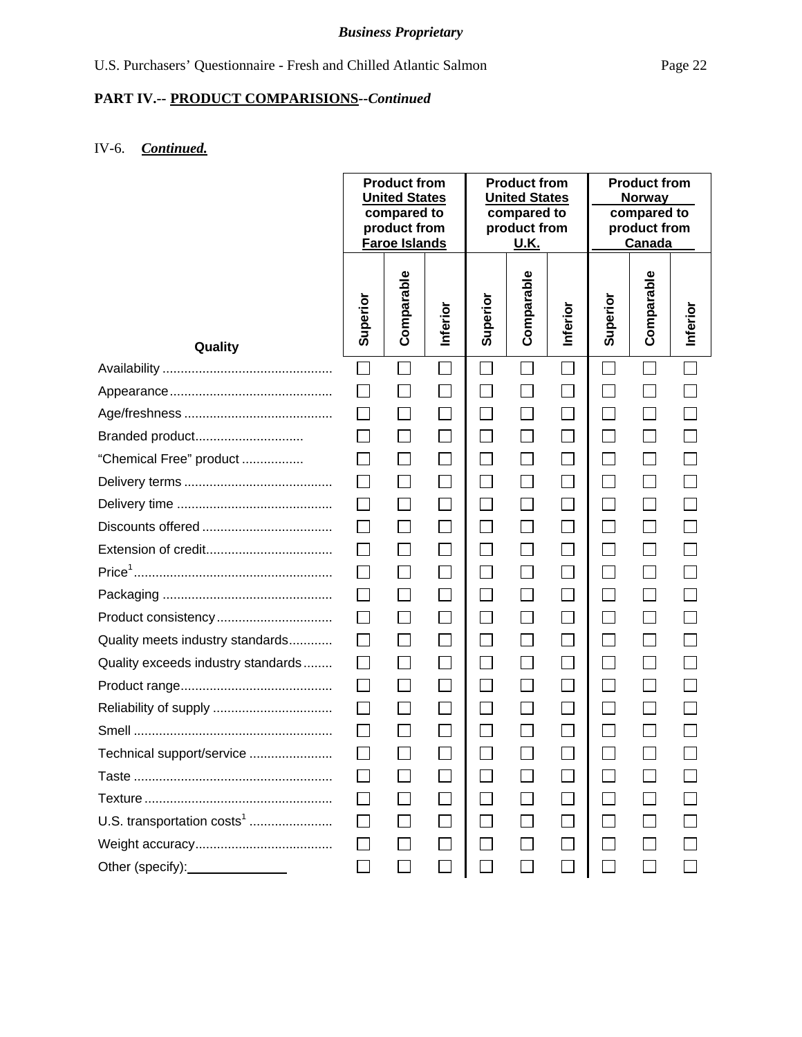## IV-6. *Continued.*

|                                        |              | <b>Product from</b><br><b>United States</b><br>compared to<br>product from<br><b>Faroe Islands</b> |                   | <b>Product from</b><br><b>United States</b><br>compared to<br>product from<br><u>U.K.</u> |                   | <b>Product from</b><br><b>Norway</b><br>compared to<br>product from<br>Canada |                             |            |          |
|----------------------------------------|--------------|----------------------------------------------------------------------------------------------------|-------------------|-------------------------------------------------------------------------------------------|-------------------|-------------------------------------------------------------------------------|-----------------------------|------------|----------|
| Quality                                | Superior     | Comparable                                                                                         | Inferior          | Superior                                                                                  | Comparable        | Inferior                                                                      | Superior                    | Comparable | Inferior |
|                                        | $\Box$       |                                                                                                    |                   | $\mathbb{R}^n$                                                                            | $\Box$            |                                                                               | $\mathcal{L}_{\mathcal{A}}$ |            |          |
|                                        |              |                                                                                                    |                   | $\mathcal{L}_{\mathcal{A}}$                                                               |                   | $\Box$                                                                        | $\Box$                      |            |          |
|                                        | $\perp$      |                                                                                                    | $\sim$            | $\Box$                                                                                    | $\vert \ \ \vert$ | $\Box$                                                                        | $\Box$                      |            |          |
| Branded product                        |              |                                                                                                    |                   | $\Box$                                                                                    | $\mathsf{L}$      | $\Box$                                                                        | $\Box$                      |            |          |
| "Chemical Free" product                |              |                                                                                                    |                   | $\Box$                                                                                    | $\Box$            | $\Box$                                                                        | $\Box$                      |            |          |
|                                        |              |                                                                                                    |                   | $\Box$                                                                                    |                   | $\Box$                                                                        | $\Box$                      |            |          |
|                                        | $\Box$       | $\vert \ \ \vert$                                                                                  | $\vert \ \ \vert$ | $\Box$                                                                                    | $\Box$            | $\Box$                                                                        | $\Box$                      |            |          |
|                                        |              |                                                                                                    | $\vert \ \ \vert$ | $\Box$                                                                                    | $\Box$            | $\Box$                                                                        | $\Box$                      |            |          |
|                                        | $\perp$      |                                                                                                    | $\mathbf{L}$      | $\Box$                                                                                    | $\Box$            | $\Box$                                                                        | $\Box$                      |            |          |
|                                        |              |                                                                                                    |                   | $\mathcal{L}_{\mathcal{A}}$                                                               |                   | $\Box$                                                                        |                             |            |          |
|                                        | $\perp$      |                                                                                                    |                   | $\Box$                                                                                    | $\mathsf{L}$      | $\Box$                                                                        | $\mathcal{L}_{\mathcal{A}}$ |            |          |
| Product consistency                    |              |                                                                                                    |                   | ⊔                                                                                         | $\mathsf{L}$      | $\Box$                                                                        | $\Box$                      |            |          |
| Quality meets industry standards       |              |                                                                                                    |                   | $\Box$                                                                                    |                   | $\Box$                                                                        | $\Box$                      |            |          |
| Quality exceeds industry standards     |              |                                                                                                    |                   | $\Box$                                                                                    |                   | $\Box$                                                                        | $\Box$                      |            |          |
|                                        | $\perp$      |                                                                                                    |                   | $\Box$                                                                                    | $\Box$            | $\Box$                                                                        | $\Box$                      |            |          |
|                                        | $\Box$       |                                                                                                    | $\mathbb{R}^n$    | $\Box$                                                                                    | $\Box$            | $\Box$                                                                        | $\Box$                      |            |          |
|                                        |              |                                                                                                    |                   | $\Box$                                                                                    |                   |                                                                               | $\Box$                      |            |          |
| Technical support/service              |              |                                                                                                    |                   | $\Box$                                                                                    |                   |                                                                               |                             |            |          |
|                                        |              |                                                                                                    |                   | $\Box$                                                                                    |                   |                                                                               |                             |            |          |
|                                        | $\mathsf{L}$ |                                                                                                    |                   | $\Box$                                                                                    |                   | $\Box$                                                                        |                             |            |          |
| U.S. transportation costs <sup>1</sup> |              |                                                                                                    |                   | П                                                                                         |                   |                                                                               |                             |            |          |
|                                        |              |                                                                                                    |                   |                                                                                           |                   |                                                                               |                             |            |          |
| Other (specify):                       |              |                                                                                                    |                   |                                                                                           |                   |                                                                               |                             |            |          |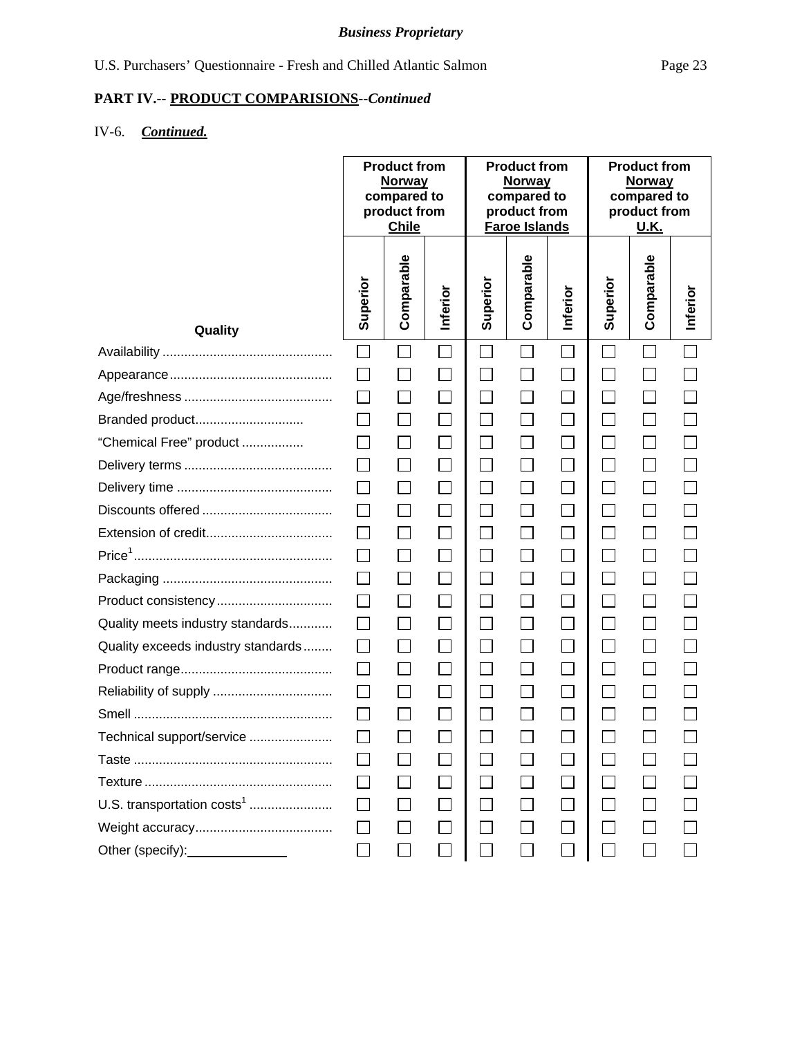## **PART IV.-- PRODUCT COMPARISIONS***--Continued*

# IV-6. *Continued.*

|                                          | <b>Product from</b><br><b>Norway</b><br>compared to<br>product from<br><b>Chile</b> |                   | <b>Product from</b><br><b>Norway</b><br>compared to<br>product from<br><b>Faroe Islands</b> |                |                   | <b>Product from</b><br><b>Norway</b><br>compared to<br>product from<br><u>U.K.</u> |                          |                          |          |
|------------------------------------------|-------------------------------------------------------------------------------------|-------------------|---------------------------------------------------------------------------------------------|----------------|-------------------|------------------------------------------------------------------------------------|--------------------------|--------------------------|----------|
| Quality                                  | Superior                                                                            | Comparable        | Inferior                                                                                    | Superior       | Comparable        | Inferior                                                                           | Superior                 | Comparable               | Inferior |
|                                          |                                                                                     |                   |                                                                                             | $\Box$         | $\vert \ \ \vert$ |                                                                                    | $\Box$                   |                          |          |
|                                          |                                                                                     |                   | $\Box$                                                                                      | $\Box$         |                   | $\Box$                                                                             | $\Box$                   |                          |          |
|                                          |                                                                                     |                   |                                                                                             | $\Box$         |                   |                                                                                    |                          |                          |          |
| Branded product                          |                                                                                     |                   | $\Box$                                                                                      | $\Box$         | П                 | $\Box$                                                                             | $\Box$                   | $\Box$                   |          |
| "Chemical Free" product                  |                                                                                     |                   | $\Box$                                                                                      | $\Box$         | $\Box$            | $\Box$                                                                             | $\overline{\phantom{a}}$ | $\overline{\phantom{a}}$ |          |
|                                          | $\Box$                                                                              |                   | $\overline{\phantom{a}}$                                                                    | $\Box$         | $\Box$            | $\Box$                                                                             | $\Box$                   | $\Box$                   |          |
|                                          | $\perp$                                                                             |                   | $\mathcal{L}_{\mathcal{A}}$                                                                 | $\Box$         | $\Box$            | $\Box$                                                                             | $\Box$                   |                          |          |
|                                          |                                                                                     |                   | $\Box$                                                                                      | $\Box$         | $\Box$            | $\Box$                                                                             | $\Box$                   | $\Box$                   |          |
|                                          |                                                                                     |                   | $\Box$                                                                                      | $\Box$         | П                 | $\Box$                                                                             | $\Box$                   | $\Box$                   |          |
|                                          |                                                                                     | $\vert \ \ \vert$ | $\Box$                                                                                      | $\Box$         | $\Box$            | $\Box$                                                                             | $\Box$                   | $\Box$                   |          |
|                                          |                                                                                     |                   | $\mathcal{L}_{\mathcal{A}}$                                                                 | $\Box$         | $\Box$            | $\Box$                                                                             | $\Box$                   |                          |          |
| Product consistency                      |                                                                                     |                   | $\Box$                                                                                      | $\Box$         | $\Box$            | $\Box$                                                                             | $\overline{\phantom{0}}$ |                          |          |
| Quality meets industry standards         | $\mathsf{L}$                                                                        | $\vert \ \ \vert$ | $\mathcal{L}_{\mathcal{A}}$                                                                 | $\Box$         | $\Box$            | $\Box$                                                                             | $\Box$                   | $\overline{\phantom{a}}$ |          |
| Quality exceeds industry standards       | $\perp$                                                                             |                   | $\Box$                                                                                      | $\Box$         | $\Box$            | $\Box$                                                                             | $\Box$                   | $\Box$                   |          |
|                                          | $\perp$                                                                             | $\Box$            | $\Box$                                                                                      | $\Box$         | $\Box$            | $\Box$                                                                             | $\Box$                   | $\Box$                   |          |
|                                          |                                                                                     |                   |                                                                                             | $\Box$         |                   |                                                                                    |                          |                          |          |
|                                          |                                                                                     |                   |                                                                                             | $\Box$         |                   |                                                                                    |                          |                          |          |
| Technical support/service                |                                                                                     |                   |                                                                                             |                |                   |                                                                                    |                          |                          |          |
|                                          |                                                                                     |                   |                                                                                             | $\mathbb{R}^n$ |                   |                                                                                    |                          |                          |          |
|                                          |                                                                                     |                   |                                                                                             | $\Box$         |                   |                                                                                    |                          |                          |          |
| U.S. transportation costs <sup>1</sup>   |                                                                                     |                   |                                                                                             | П              |                   | $\Box$                                                                             |                          |                          |          |
|                                          |                                                                                     |                   |                                                                                             | $\Box$         |                   |                                                                                    |                          |                          |          |
| Other (specify): <u>________________</u> |                                                                                     |                   |                                                                                             |                |                   |                                                                                    |                          |                          |          |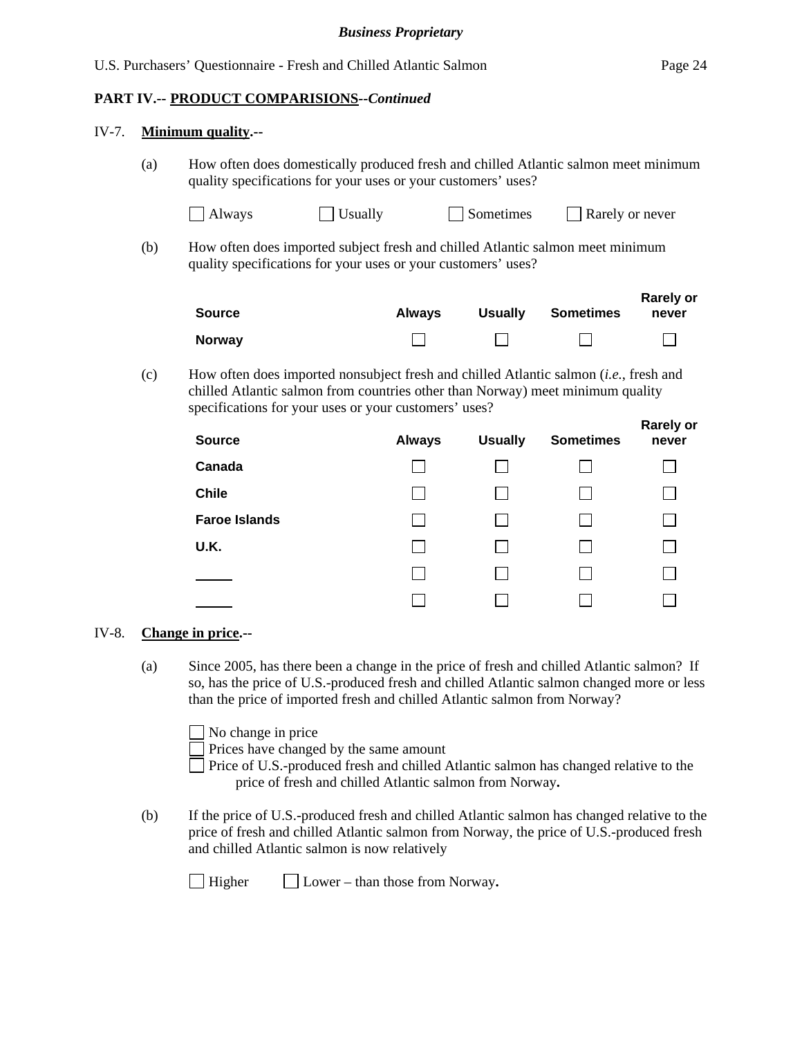### **PART IV.-- PRODUCT COMPARISIONS***--Continued*

#### IV-7. **Minimum quality.--**

(a) How often does domestically produced fresh and chilled Atlantic salmon meet minimum quality specifications for your uses or your customers' uses?

| $\Box$ Always<br>$\Box$ Usually | $\Box$ Sometimes | Rarely or never |
|---------------------------------|------------------|-----------------|
|---------------------------------|------------------|-----------------|

(b) How often does imported subject fresh and chilled Atlantic salmon meet minimum quality specifications for your uses or your customers' uses?

| Source        | <b>Always</b> | <b>Usually</b> | <b>Sometimes</b> | <b>Rarely or</b><br>never |
|---------------|---------------|----------------|------------------|---------------------------|
| <b>Norway</b> |               |                |                  |                           |

(c) How often does imported nonsubject fresh and chilled Atlantic salmon (*i.e.*, fresh and chilled Atlantic salmon from countries other than Norway) meet minimum quality specifications for your uses or your customers' uses?

| <b>Source</b>        | <b>Always</b> | <b>Usually</b> | <b>Sometimes</b> | <b>Rarely or</b><br>never |
|----------------------|---------------|----------------|------------------|---------------------------|
| Canada               |               |                |                  |                           |
| <b>Chile</b>         |               |                |                  |                           |
| <b>Faroe Islands</b> |               |                |                  |                           |
| U.K.                 |               |                |                  |                           |
|                      |               |                |                  |                           |
|                      |               |                |                  |                           |

### IV-8. **Change in price.--**

(a) Since 2005, has there been a change in the price of fresh and chilled Atlantic salmon? If so, has the price of U.S.-produced fresh and chilled Atlantic salmon changed more or less than the price of imported fresh and chilled Atlantic salmon from Norway?

No change in price

Prices have changed by the same amount

- Price of U.S.-produced fresh and chilled Atlantic salmon has changed relative to the price of fresh and chilled Atlantic salmon from Norway**.**
- (b) If the price of U.S.-produced fresh and chilled Atlantic salmon has changed relative to the price of fresh and chilled Atlantic salmon from Norway, the price of U.S.-produced fresh and chilled Atlantic salmon is now relatively

Higher Lower – than those from Norway**.**